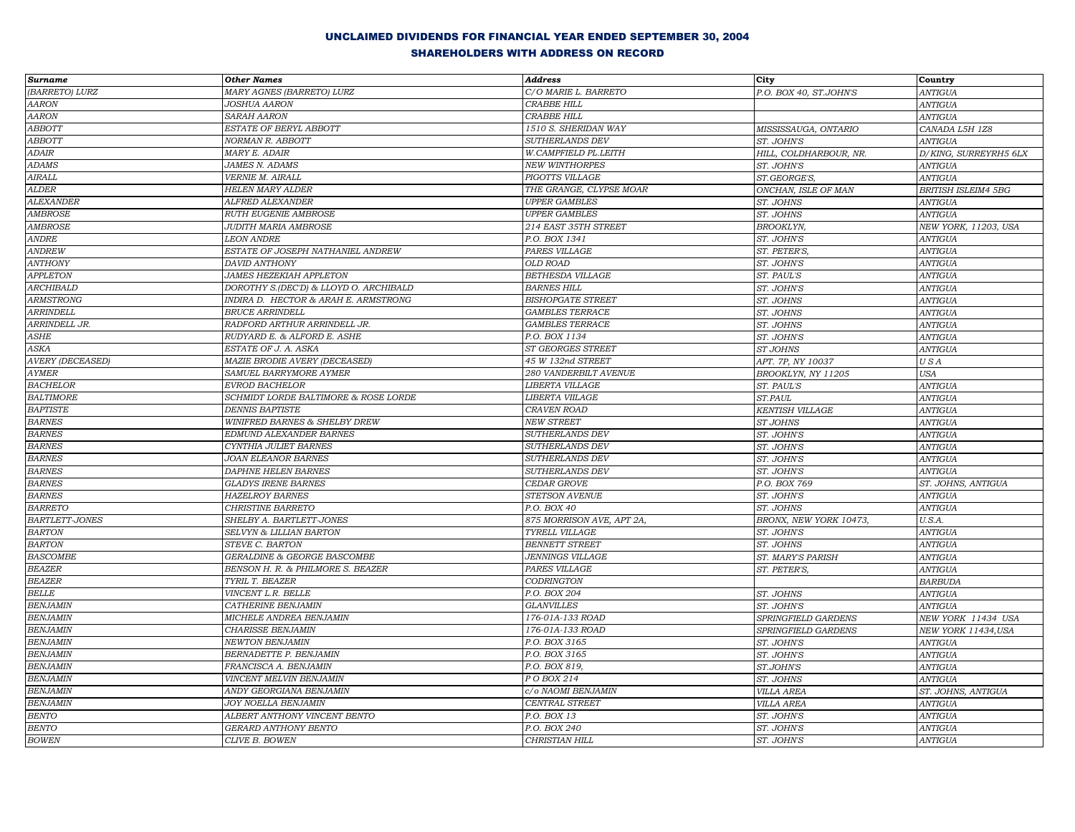| <b>Surname</b>          | <b>Other Names</b>                     | <b>Address</b>            | City                   | Country                    |
|-------------------------|----------------------------------------|---------------------------|------------------------|----------------------------|
| (BARRETO) LURZ          | MARY AGNES (BARRETO) LURZ              | C/O MARIE L. BARRETO      | P.O. BOX 40, ST.JOHN'S | <b>ANTIGUA</b>             |
| <b>AARON</b>            | <b>JOSHUA AARON</b>                    | <b>CRABBE HILL</b>        |                        | <b>ANTIGUA</b>             |
| <b>AARON</b>            | <b>SARAH AARON</b>                     | <b>CRABBE HILL</b>        |                        | <b>ANTIGUA</b>             |
| ABBOTT                  | ESTATE OF BERYL ABBOTT                 | 1510 S. SHERIDAN WAY      | MISSISSAUGA, ONTARIO   | CANADA L5H 1Z8             |
| <b>ABBOTT</b>           | NORMAN R. ABBOTT                       | SUTHERLANDS DEV           | ST. JOHN'S             | <b>ANTIGUA</b>             |
| <b>ADAIR</b>            | MARY E. ADAIR                          | W.CAMPFIELD PL.LEITH      | HILL, COLDHARBOUR, NR. | D/KING, SURREYRH5 6LX      |
| <b>ADAMS</b>            | <b>JAMES N. ADAMS</b>                  | <b>NEW WINTHORPES</b>     | ST. JOHN'S             | <b>ANTIGUA</b>             |
| $\pmb{A} \pmb{IRALL}$   | VERNIE M. AIRALL                       | PIGOTTS VILLAGE           | ST.GEORGE'S,           | <b>ANTIGUA</b>             |
| <b>ALDER</b>            | <b>HELEN MARY ALDER</b>                | THE GRANGE, CLYPSE MOAR   | ONCHAN, ISLE OF MAN    | <b>BRITISH ISLEIM4 5BG</b> |
| <b>ALEXANDER</b>        | ALFRED ALEXANDER                       | <b>UPPER GAMBLES</b>      | ST. JOHNS              | <b>ANTIGUA</b>             |
| <b>AMBROSE</b>          | <b>RUTH EUGENIE AMBROSE</b>            | <b>UPPER GAMBLES</b>      | ST. JOHNS              | <b>ANTIGUA</b>             |
| <b>AMBROSE</b>          | <b>JUDITH MARIA AMBROSE</b>            | 214 EAST 35TH STREET      | <b>BROOKLYN,</b>       | NEW YORK, 11203, USA       |
| <b>ANDRE</b>            | <b>LEON ANDRE</b>                      | P.O. BOX 1341             | ST. JOHN'S             | ANTIGUA                    |
| <b>ANDREW</b>           | ESTATE OF JOSEPH NATHANIEL ANDREW      | PARES VILLAGE             | ST. PETER'S,           | <b>ANTIGUA</b>             |
| <b>ANTHONY</b>          | <b>DAVID ANTHONY</b>                   | OLD ROAD                  | ST. JOHN'S             | <b>ANTIGUA</b>             |
| <b>APPLETON</b>         | <b>JAMES HEZEKIAH APPLETON</b>         | BETHESDA VILLAGE          | ST. PAUL'S             | <b>ANTIGUA</b>             |
| ARCHIBALD               | DOROTHY S.(DEC'D) & LLOYD O. ARCHIBALD | <b>BARNES HILL</b>        | ST. JOHN'S             | <b>ANTIGUA</b>             |
| ARMSTRONG               | INDIRA D. HECTOR & ARAH E. ARMSTRONG   | <b>BISHOPGATE STREET</b>  | ST. JOHNS              | <b>ANTIGUA</b>             |
| <b>ARRINDELL</b>        | <b>BRUCE ARRINDELL</b>                 | <b>GAMBLES TERRACE</b>    | ST. JOHNS              | <b>ANTIGUA</b>             |
| ARRINDELL JR.           | RADFORD ARTHUR ARRINDELL JR.           | <b>GAMBLES TERRACE</b>    | ST. JOHNS              | <b>ANTIGUA</b>             |
| ASHE                    | RUDYARD E. & ALFORD E. ASHE            | P.O. BOX 1134             | ST. JOHN'S             | <b>ANTIGUA</b>             |
| ASKA                    | ESTATE OF J. A. ASKA                   | ST GEORGES STREET         | ST JOHNS               | <b>ANTIGUA</b>             |
| <b>AVERY (DECEASED)</b> | MAZIE BRODIE AVERY (DECEASED)          | 45 W 132nd STREET         | APT. 7P, NY 10037      | USA                        |
| <b>AYMER</b>            | SAMUEL BARRYMORE AYMER                 | 280 VANDERBILT AVENUE     | BROOKLYN, NY 11205     | <b>USA</b>                 |
| <b>BACHELOR</b>         | <b>EVROD BACHELOR</b>                  | LIBERTA VILLAGE           | ST. PAUL'S             | <b>ANTIGUA</b>             |
| <b>BALTIMORE</b>        | SCHMIDT LORDE BALTIMORE & ROSE LORDE   | LIBERTA VIILAGE           | ST.PAUL                | <b>ANTIGUA</b>             |
| <b>BAPTISTE</b>         | <b>DENNIS BAPTISTE</b>                 | CRAVEN ROAD               | <b>KENTISH VILLAGE</b> | <b>ANTIGUA</b>             |
| <b>BARNES</b>           | WINIFRED BARNES & SHELBY DREW          | <b>NEW STREET</b>         | ST JOHNS               | <b>ANTIGUA</b>             |
| <b>BARNES</b>           | EDMUND ALEXANDER BARNES                | SUTHERLANDS DEV           | ST. JOHN'S             | <b>ANTIGUA</b>             |
| <b>BARNES</b>           | CYNTHIA JULIET BARNES                  | SUTHERLANDS DEV           | ST. JOHN'S             | <b>ANTIGUA</b>             |
| <b>BARNES</b>           | <b>JOAN ELEANOR BARNES</b>             | SUTHERLANDS DEV           | ST. JOHN'S             | <b>ANTIGUA</b>             |
| <b>BARNES</b>           | <b>DAPHNE HELEN BARNES</b>             | SUTHERLANDS DEV           | ST. JOHN'S             | <b>ANTIGUA</b>             |
| <b>BARNES</b>           | <b>GLADYS IRENE BARNES</b>             | CEDAR GROVE               | P.O. BOX 769           | ST. JOHNS, ANTIGUA         |
| <b>BARNES</b>           | HAZELROY BARNES                        | STETSON AVENUE            | ST. JOHN'S             | ANTIGUA                    |
| <b>BARRETO</b>          | <b>CHRISTINE BARRETO</b>               | P.O. BOX 40               | ST. JOHNS              | ANTIGUA                    |
| BARTLETT-JONES          | SHELBY A. BARTLETT-JONES               | 875 MORRISON AVE, APT 2A, | BRONX, NEW YORK 10473, | U.S.A.                     |
| <b>BARTON</b>           | SELVYN & LILLIAN BARTON                | TYRELL VILLAGE            | ST. JOHN'S             | <b>ANTIGUA</b>             |
| <b>BARTON</b>           | STEVE C. BARTON                        | <b>BENNETT STREET</b>     | ST. JOHNS              | ANTIGUA                    |
| <b>BASCOMBE</b>         | GERALDINE & GEORGE BASCOMBE            | <b>JENNINGS VILLAGE</b>   | ST. MARY'S PARISH      | <b>ANTIGUA</b>             |
| <b>BEAZER</b>           | BENSON H. R. & PHILMORE S. BEAZER      | PARES VILLAGE             | ST. PETER'S,           | <b>ANTIGUA</b>             |
| <b>BEAZER</b>           | TYRIL T. BEAZER                        | CODRINGTON                |                        | <b>BARBUDA</b>             |
| <b>BELLE</b>            | VINCENT L.R. BELLE                     | P.O. BOX 204              | ST. JOHNS              | <b>ANTIGUA</b>             |
| <b>BENJAMIN</b>         | CATHERINE BENJAMIN                     | <b>GLANVILLES</b>         | ST. JOHN'S             | <b>ANTIGUA</b>             |
| <b>BENJAMIN</b>         | MICHELE ANDREA BENJAMIN                | 176-01A-133 ROAD          | SPRINGFIELD GARDENS    | NEW YORK 11434 USA         |
| <b>BENJAMIN</b>         | <b>CHARISSE BENJAMIN</b>               | 176-01A-133 ROAD          | SPRINGFIELD GARDENS    | NEW YORK 11434, USA        |
| <b>BENJAMIN</b>         | <b>NEWTON BENJAMIN</b>                 | P.O. BOX 3165             | ST. JOHN'S             | <b>ANTIGUA</b>             |
| <b>BENJAMIN</b>         | BERNADETTE P. BENJAMIN                 | P.O. BOX 3165             | ST. JOHN'S             | <b>ANTIGUA</b>             |
| <b>BENJAMIN</b>         | FRANCISCA A. BENJAMIN                  | P.O. BOX 819,             | ST.JOHN'S              | <b>ANTIGUA</b>             |
| <b>BENJAMIN</b>         | VINCENT MELVIN BENJAMIN                | P O BOX 214               | ST. JOHNS              | <b>ANTIGUA</b>             |
| <b>BENJAMIN</b>         | ANDY GEORGIANA BENJAMIN                | c/o NAOMI BENJAMIN        | <b>VILLA AREA</b>      | ST. JOHNS, ANTIGUA         |
| <b>BENJAMIN</b>         | JOY NOELLA BENJAMIN                    | CENTRAL STREET            | <b>VILLA AREA</b>      | <b>ANTIGUA</b>             |
| <b>BENTO</b>            | ALBERT ANTHONY VINCENT BENTO           | P.O. BOX 13               | ST. JOHN'S             | <b>ANTIGUA</b>             |
| <b>BENTO</b>            | <b>GERARD ANTHONY BENTO</b>            | P.O. BOX 240              | ST. JOHN'S             | <b>ANTIGUA</b>             |
| <b>BOWEN</b>            | CLIVE B. BOWEN                         | CHRISTIAN HILL            | ST. JOHN'S             | ANTIGUA                    |
|                         |                                        |                           |                        |                            |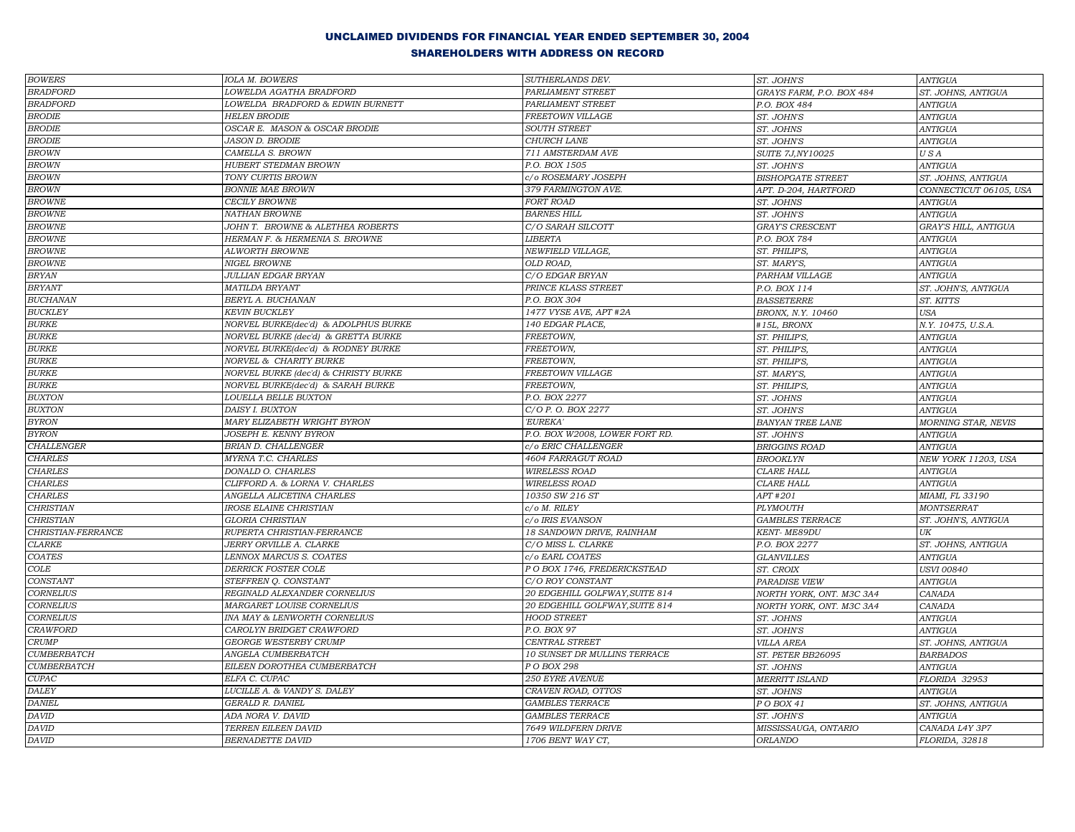| <b>BOWERS</b>                 | IOLA M. BOWERS                       | SUTHERLANDS DEV.                            | ST. JOHN'S               | <b>ANTIGUA</b>             |
|-------------------------------|--------------------------------------|---------------------------------------------|--------------------------|----------------------------|
| <b>BRADFORD</b>               | LOWELDA AGATHA BRADFORD              | PARLIAMENT STREET                           | GRAYS FARM, P.O. BOX 484 | ST. JOHNS, ANTIGUA         |
| <b>BRADFORD</b>               | LOWELDA BRADFORD & EDWIN BURNETT     | PARLIAMENT STREET                           | P.O. BOX 484             | <b>ANTIGUA</b>             |
| <b>BRODIE</b>                 | <b>HELEN BRODIE</b>                  | FREETOWN VILLAGE                            | ST. JOHN'S               | <b>ANTIGUA</b>             |
| ${\it BRODIE}$                | OSCAR E. MASON & OSCAR BRODIE        | <b>SOUTH STREET</b>                         | ST. JOHNS                | <b>ANTIGUA</b>             |
| <b>BRODIE</b>                 | JASON D. BRODIE                      | CHURCH LANE                                 | ST. JOHN'S               | <b>ANTIGUA</b>             |
| <b>BROWN</b>                  | CAMELLA S. BROWN                     | 711 AMSTERDAM AVE                           | SUITE 7J, NY10025        | USA                        |
| <b>BROWN</b>                  | <b>HUBERT STEDMAN BROWN</b>          | P.O. BOX 1505                               | ST. JOHN'S               | <b>ANTIGUA</b>             |
| <b>BROWN</b>                  | TONY CURTIS BROWN                    | c/o ROSEMARY JOSEPH                         | <b>BISHOPGATE STREET</b> | ST. JOHNS, ANTIGUA         |
| <b>BROWN</b>                  | <b>BONNIE MAE BROWN</b>              | 379 FARMINGTON AVE.                         | APT. D-204, HARTFORD     | CONNECTICUT 06105, USA     |
| <b>BROWNE</b>                 | <b>CECILY BROWNE</b>                 | <b>FORT ROAD</b>                            | ST. JOHNS                | <b>ANTIGUA</b>             |
| <b>BROWNE</b>                 | <b>NATHAN BROWNE</b>                 | <b>BARNES HILL</b>                          | ST. JOHN'S               | <b>ANTIGUA</b>             |
| <b>BROWNE</b>                 | JOHN T. BROWNE & ALETHEA ROBERTS     | C/O SARAH SILCOTT                           | <b>GRAY'S CRESCENT</b>   | GRAY'S HILL, ANTIGUA       |
| <b>BROWNE</b>                 | HERMAN F. & HERMENIA S. BROWNE       | LIBERTA                                     | P.O. BOX 784             | ANTIGUA                    |
| <b>BROWNE</b>                 | <b>ALWORTH BROWNE</b>                | NEWFIELD VILLAGE,                           | ST. PHILIP'S,            | <b>ANTIGUA</b>             |
| <b>BROWNE</b>                 | NIGEL BROWNE                         | OLD ROAD,                                   | ST. MARY'S,              | <b>ANTIGUA</b>             |
| <b>BRYAN</b>                  | <b>JULLIAN EDGAR BRYAN</b>           | C/O EDGAR BRYAN                             | PARHAM VILLAGE           | <b>ANTIGUA</b>             |
| <b>BRYANT</b>                 | MATILDA BRYANT                       | PRINCE KLASS STREET                         | P.O. BOX 114             | ST. JOHN'S, ANTIGUA        |
| <b>BUCHANAN</b>               | BERYL A. BUCHANAN                    | P.O. BOX 304                                | <b>BASSETERRE</b>        | ST. KITTS                  |
| <b>BUCKLEY</b>                | <b>KEVIN BUCKLEY</b>                 | 1477 VYSE AVE, APT #2A                      | BRONX, N.Y. 10460        | <b>USA</b>                 |
| <b>BURKE</b>                  | NORVEL BURKE(dec'd) & ADOLPHUS BURKE | 140 EDGAR PLACE,                            | #15L, BRONX              | N.Y. 10475, U.S.A.         |
| <b>BURKE</b>                  | NORVEL BURKE (dec'd) & GRETTA BURKE  | FREETOWN,                                   | ST. PHILIP'S,            | <b>ANTIGUA</b>             |
| <b>BURKE</b>                  | NORVEL BURKE(dec'd) & RODNEY BURKE   | FREETOWN.                                   | ST. PHILIP'S,            | <b>ANTIGUA</b>             |
| <b>BURKE</b>                  | NORVEL & CHARITY BURKE               | FREETOWN,                                   | ST. PHILIP'S,            | <b>ANTIGUA</b>             |
| <b>BURKE</b>                  | NORVEL BURKE (dec'd) & CHRISTY BURKE | FREETOWN VILLAGE                            | ST. MARY'S,              | ANTIGUA                    |
| $\ensuremath{\mathit{BURKE}}$ | NORVEL BURKE(dec'd) & SARAH BURKE    | FREETOWN,                                   | ST. PHILIP'S,            | <b>ANTIGUA</b>             |
| <b>BUXTON</b>                 | LOUELLA BELLE BUXTON                 | P.O. BOX 2277                               | ST. JOHNS                | <b>ANTIGUA</b>             |
| <b>BUXTON</b>                 | DAISY I. BUXTON                      | C/O P. O. BOX 2277                          | ST. JOHN'S               | <b>ANTIGUA</b>             |
| <b>BYRON</b>                  | MARY ELIZABETH WRIGHT BYRON          | 'EUREKA'                                    | <b>BANYAN TREE LANE</b>  | <b>MORNING STAR, NEVIS</b> |
| BYRON                         | JOSEPH E. KENNY BYRON                | P.O. BOX W2008, LOWER FORT RD.              | ST. JOHN'S               | <b>ANTIGUA</b>             |
| CHALLENGER                    | <b>BRIAN D. CHALLENGER</b>           | c/o ERIC CHALLENGER                         | <b>BRIGGINS ROAD</b>     | <b>ANTIGUA</b>             |
| <b>CHARLES</b>                | MYRNA T.C. CHARLES                   | 4604 FARRAGUT ROAD                          | <b>BROOKLYN</b>          | NEW YORK 11203, USA        |
| <b>CHARLES</b>                | DONALD O. CHARLES                    | <b>WIRELESS ROAD</b>                        | <b>CLARE HALL</b>        | <b>ANTIGUA</b>             |
| <b>CHARLES</b>                | CLIFFORD A. & LORNA V. CHARLES       | <b>WIRELESS ROAD</b>                        | CLARE HALL               | <b>ANTIGUA</b>             |
| <b>CHARLES</b>                | ANGELLA ALICETINA CHARLES            | 10350 SW 216 ST                             | APT #201                 | MIAMI, FL 33190            |
| <b>CHRISTIAN</b>              | <b>IROSE ELAINE CHRISTIAN</b>        | c/o M. RILEY                                | <b>PLYMOUTH</b>          | <b>MONTSERRAT</b>          |
| <b>CHRISTIAN</b>              | GLORIA CHRISTIAN                     | c/o IRIS EVANSON                            | <b>GAMBLES TERRACE</b>   | ST. JOHN'S, ANTIGUA        |
| CHRISTIAN-FERRANCE            | RUPERTA CHRISTIAN-FERRANCE           | 18 SANDOWN DRIVE, RAINHAM                   | <b>KENT- ME89DU</b>      | UK                         |
| <b>CLARKE</b>                 | JERRY ORVILLE A. CLARKE              | C/O MISS L. CLARKE                          | P.O. BOX 2277            | ST. JOHNS, ANTIGUA         |
| <b>COATES</b>                 | LENNOX MARCUS S. COATES              | c/o EARL COATES                             | <b>GLANVILLES</b>        | <b>ANTIGUA</b>             |
| $COLE$                        | DERRICK FOSTER COLE                  | P O BOX 1746, FREDERICKSTEAD                | ST. CROIX                | <b>USVI 00840</b>          |
| CONSTANT                      | STEFFREN Q. CONSTANT                 | C/O ROY CONSTANT                            | PARADISE VIEW            | <b>ANTIGUA</b>             |
| <b>CORNELIUS</b>              | REGINALD ALEXANDER CORNELIUS         | 20 EDGEHILL GOLFWAY, SUITE 814              | NORTH YORK, ONT. M3C 3A4 | <b>CANADA</b>              |
| <b>CORNELIUS</b>              | <b>MARGARET LOUISE CORNELIUS</b>     | 20 EDGEHILL GOLFWAY, SUITE 814              | NORTH YORK, ONT. M3C 3A4 | CANADA                     |
| <b>CORNELIUS</b>              | INA MAY & LENWORTH CORNELIUS         | <b>HOOD STREET</b>                          | ST. JOHNS                | <b>ANTIGUA</b>             |
| <b>CRAWFORD</b>               | CAROLYN BRIDGET CRAWFORD             | P.O. BOX 97                                 |                          | <b>ANTIGUA</b>             |
| <b>CRUMP</b>                  | <b>GEORGE WESTERBY CRUMP</b>         | <b>CENTRAL STREET</b>                       | ST. JOHN'S               |                            |
| <b>CUMBERBATCH</b>            | ANGELA CUMBERBATCH                   |                                             | <b>VILLA AREA</b>        | ST. JOHNS, ANTIGUA         |
| <b>CUMBERBATCH</b>            | EILEEN DOROTHEA CUMBERBATCH          | 10 SUNSET DR MULLINS TERRACE<br>P O BOX 298 | ST. PETER BB26095        | <b>BARBADOS</b>            |
|                               |                                      |                                             | ST. JOHNS                | <b>ANTIGUA</b>             |
| CUPAC                         | ELFA C. CUPAC                        | 250 EYRE AVENUE                             | <b>MERRITT ISLAND</b>    | FLORIDA 32953              |
| DALEY                         | LUCILLE A. & VANDY S. DALEY          | CRAVEN ROAD, OTTOS                          | ST. JOHNS                | <b>ANTIGUA</b>             |
| <b>DANIEL</b>                 | GERALD R. DANIEL                     | <b>GAMBLES TERRACE</b>                      | P O BOX 41               | ST. JOHNS, ANTIGUA         |
| <b>DAVID</b>                  | ADA NORA V. DAVID                    | <b>GAMBLES TERRACE</b>                      | ST. JOHN'S               | <b>ANTIGUA</b>             |
| <b>DAVID</b>                  | TERREN EILEEN DAVID                  | 7649 WILDFERN DRIVE                         | MISSISSAUGA, ONTARIO     | CANADA L4Y 3P7             |
| DAVID                         | <b>BERNADETTE DAVID</b>              | 1706 BENT WAY CT,                           | ORLANDO                  | FLORIDA, 32818             |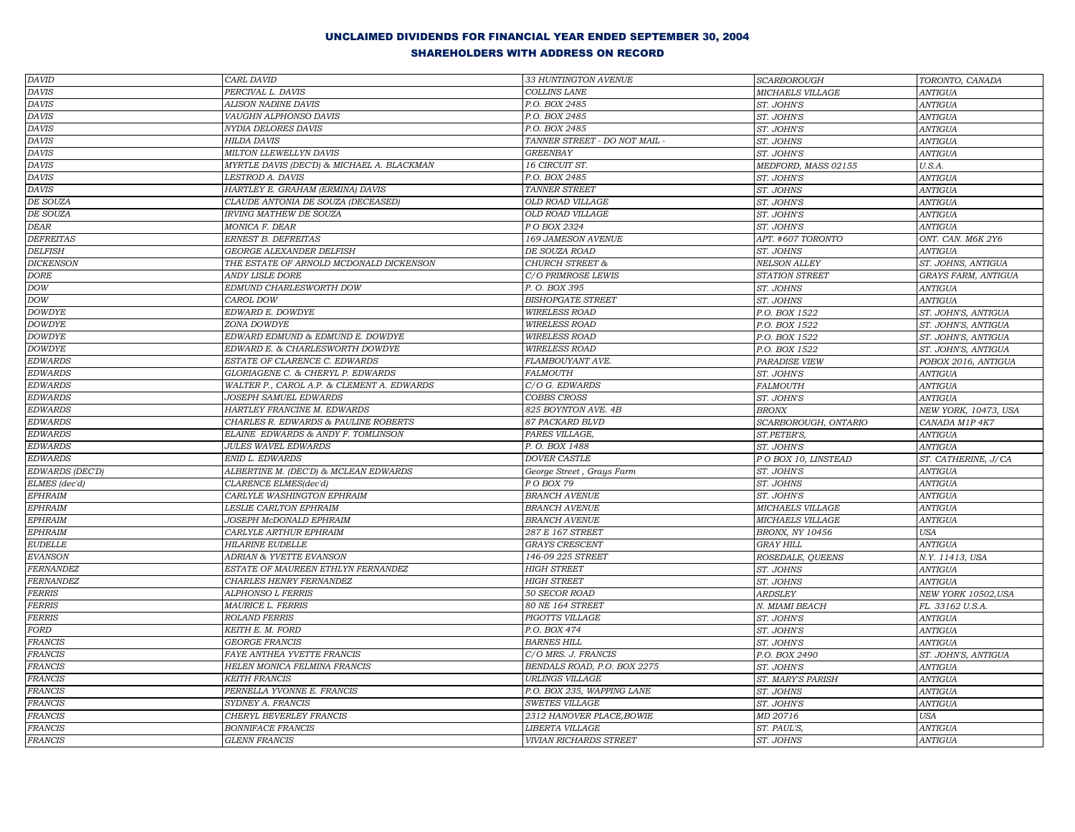| $\overline{DA} \textit{VID}$ | CARL DAVID                                       | 33 HUNTINGTON AVENUE                             | <b>SCARBOROUGH</b>       | TORONTO, CANADA                  |
|------------------------------|--------------------------------------------------|--------------------------------------------------|--------------------------|----------------------------------|
| <b>DAVIS</b>                 | PERCIVAL L. DAVIS                                | COLLINS LANE                                     | MICHAELS VILLAGE         | <b>ANTIGUA</b>                   |
| <b>DAVIS</b>                 | ALISON NADINE DAVIS                              | P.O. BOX 2485                                    | ST. JOHN'S               | <b>ANTIGUA</b>                   |
| <b>DAVIS</b>                 | VAUGHN ALPHONSO DAVIS                            | P.O. BOX 2485                                    | ST. JOHN'S               | <b>ANTIGUA</b>                   |
| <b>DAVIS</b>                 | NYDIA DELORES DAVIS                              | P.O. BOX 2485                                    | ST. JOHN'S               | <b>ANTIGUA</b>                   |
| <b>DAVIS</b>                 | <b>HILDA DAVIS</b>                               | TANNER STREET - DO NOT MAIL                      | ST. JOHNS                | <b>ANTIGUA</b>                   |
| <b>DAVIS</b>                 | MILTON LLEWELLYN DAVIS                           | <b>GREENBAY</b>                                  | ST. JOHN'S               | <b>ANTIGUA</b>                   |
| <b>DAVIS</b>                 | MYRTLE DAVIS (DEC'D) & MICHAEL A. BLACKMAN       | 16 CIRCUIT ST.                                   | MEDFORD, MASS 02155      | U.S.A.                           |
| <b>DAVIS</b>                 | LESTROD A. DAVIS                                 | P.O. BOX 2485                                    | ST. JOHN'S               | <b>ANTIGUA</b>                   |
| <b>DAVIS</b>                 | HARTLEY E. GRAHAM (ERMINA) DAVIS                 | TANNER STREET                                    | ST. JOHNS                | <b>ANTIGUA</b>                   |
| DE SOUZA                     | CLAUDE ANTONIA DE SOUZA (DECEASED)               | <b>OLD ROAD VILLAGE</b>                          | ST. JOHN'S               | ANTIGUA                          |
| DE SOUZA                     | <b>IRVING MATHEW DE SOUZA</b>                    | <b>OLD ROAD VILLAGE</b>                          | ST. JOHN'S               | <b>ANTIGUA</b>                   |
| <b>DEAR</b>                  | MONICA F. DEAR                                   | P O BOX 2324                                     | ST. JOHN'S               | <b>ANTIGUA</b>                   |
| <b>DEFREITAS</b>             | ERNEST B. DEFREITAS                              | 169 JAMESON AVENUE                               | APT. #607 TORONTO        | ONT. CAN. M6K 2Y6                |
| <b>DELFISH</b>               | <b>GEORGE ALEXANDER DELFISH</b>                  | DE SOUZA ROAD                                    | ST. JOHNS                | <b>ANTIGUA</b>                   |
| <b>DICKENSON</b>             | THE ESTATE OF ARNOLD MCDONALD DICKENSON          | <b>CHURCH STREET &amp;</b>                       | <b>NELSON ALLEY</b>      | ST. JOHNS, ANTIGUA               |
| $DORE$                       | <b>ANDY LISLE DORE</b>                           | C/O PRIMROSE LEWIS                               | STATION STREET           | GRAYS FARM, ANTIGUA              |
| DOW                          | EDMUND CHARLESWORTH DOW                          | P. O. BOX 395                                    | ST. JOHNS                | <b>ANTIGUA</b>                   |
| DOW                          | CAROL DOW                                        | <b>BISHOPGATE STREET</b>                         | ST. JOHNS                | <b>ANTIGUA</b>                   |
| <b>DOWDYE</b>                | EDWARD E. DOWDYE                                 | <b>WIRELESS ROAD</b>                             | P.O. BOX 1522            | ST. JOHN'S, ANTIGUA              |
| <b>DOWDYE</b>                | ZONA DOWDYE                                      | <b>WIRELESS ROAD</b>                             | P.O. BOX 1522            | ST. JOHN'S, ANTIGUA              |
| <b>DOWDYE</b>                | EDWARD EDMUND & EDMUND E. DOWDYE                 | <b>WIRELESS ROAD</b>                             | P.O. BOX 1522            | ST. JOHN'S, ANTIGUA              |
| <b>DOWDYE</b>                | EDWARD E. & CHARLESWORTH DOWDYE                  | <b>WIRELESS ROAD</b>                             | P.O. BOX 1522            | ST. JOHN'S, ANTIGUA              |
| <b>EDWARDS</b>               | ESTATE OF CLARENCE C. EDWARDS                    | FLAMBOUYANT AVE.                                 | <b>PARADISE VIEW</b>     | POBOX 2016, ANTIGUA              |
| <b>EDWARDS</b>               | GLORIAGENE C. & CHERYL P. EDWARDS                | <b>FALMOUTH</b>                                  | ST. JOHN'S               | ANTIGUA                          |
| <b>EDWARDS</b>               | WALTER P., CAROL A.P. & CLEMENT A. EDWARDS       | C/O G. EDWARDS                                   | <b>FALMOUTH</b>          | <b>ANTIGUA</b>                   |
| <b>EDWARDS</b>               | JOSEPH SAMUEL EDWARDS                            | COBBS CROSS                                      | ST. JOHN'S               | <b>ANTIGUA</b>                   |
| <b>EDWARDS</b>               | HARTLEY FRANCINE M. EDWARDS                      | 825 BOYNTON AVE. 4B                              | <b>BRONX</b>             | NEW YORK, 10473, USA             |
| <b>EDWARDS</b>               | CHARLES R. EDWARDS & PAULINE ROBERTS             | 87 PACKARD BLVD                                  | SCARBOROUGH, ONTARIO     | CANADA M1P 4K7                   |
| <b>EDWARDS</b>               | ELAINE EDWARDS & ANDY F. TOMLINSON               | PARES VILLAGE,                                   | ST.PETER'S,              | <b>ANTIGUA</b>                   |
| <b>EDWARDS</b>               | <b>JULES WAVEL EDWARDS</b>                       | P. O. BOX 1488                                   | ST. JOHN'S               | <b>ANTIGUA</b>                   |
| <b>EDWARDS</b>               | ENID L. EDWARDS                                  | <b>DOVER CASTLE</b>                              | P O BOX 10, LINSTEAD     | ST. CATHERINE, J/CA              |
| EDWARDS (DEC'D)              | ALBERTINE M. (DEC'D) & MCLEAN EDWARDS            | George Street, Grays Farm                        | ST. JOHN'S               | <b>ANTIGUA</b>                   |
| ELMES (dec'd)                | CLARENCE ELMES(dec'd)                            | P O BOX 79                                       | ST. JOHNS                | <b>ANTIGUA</b>                   |
| EPHRAIM                      | CARLYLE WASHINGTON EPHRAIM                       | <b>BRANCH AVENUE</b>                             | ST. JOHN'S               | <b>ANTIGUA</b>                   |
| EPHRAIM                      | LESLIE CARLTON EPHRAIM                           | <b>BRANCH AVENUE</b>                             | MICHAELS VILLAGE         | <b>ANTIGUA</b>                   |
| <b>EPHRAIM</b>               | JOSEPH McDONALD EPHRAIM                          | <b>BRANCH AVENUE</b>                             | <b>MICHAELS VILLAGE</b>  | <b>ANTIGUA</b>                   |
| EPHRAIM                      | CARLYLE ARTHUR EPHRAIM                           | 287 E 167 STREET                                 | <b>BRONX, NY 10456</b>   | <b>USA</b>                       |
| <b>EUDELLE</b>               | <b>HILARINE EUDELLE</b>                          | <b>GRAYS CRESCENT</b>                            | <b>GRAY HILL</b>         | <b>ANTIGUA</b>                   |
| <b>EVANSON</b>               | <b>ADRIAN &amp; YVETTE EVANSON</b>               | 146-09 225 STREET                                | ROSEDALE, QUEENS         | N.Y. 11413, USA                  |
| <b>FERNANDEZ</b>             | ESTATE OF MAUREEN ETHLYN FERNANDEZ               | <b>HIGH STREET</b>                               | ST. JOHNS                | <b>ANTIGUA</b>                   |
| FERNANDEZ                    | CHARLES HENRY FERNANDEZ                          | <b>HIGH STREET</b>                               | ST. JOHNS                | <b>ANTIGUA</b>                   |
| FERRIS                       | <b>ALPHONSO L FERRIS</b>                         | 50 SECOR ROAD                                    | <b>ARDSLEY</b>           | NEW YORK 10502, USA              |
| FERRIS                       | <b>MAURICE L. FERRIS</b>                         | 80 NE 164 STREET                                 | N. MIAMI BEACH           | FL. 33162 U.S.A.                 |
| <b>FERRIS</b>                | <b>ROLAND FERRIS</b>                             | PIGOTTS VILLAGE                                  | ST. JOHN'S               | <b>ANTIGUA</b>                   |
| <b>FORD</b>                  | KEITH E. M. FORD                                 | P.O. BOX 474                                     | ST. JOHN'S               | <b>ANTIGUA</b>                   |
| FRANCIS                      | <b>GEORGE FRANCIS</b>                            | <b>BARNES HILL</b>                               | ST. JOHN'S               | <b>ANTIGUA</b>                   |
| <b>FRANCIS</b>               | FAYE ANTHEA YVETTE FRANCIS                       | C/O MRS. J. FRANCIS                              | P.O. BOX 2490            | ST. JOHN'S, ANTIGUA              |
| <b>FRANCIS</b>               | HELEN MONICA FELMINA FRANCIS                     | BENDALS ROAD, P.O. BOX 2275                      | ST. JOHN'S               | <b>ANTIGUA</b>                   |
| <b>FRANCIS</b>               | <b>KEITH FRANCIS</b>                             | <b>URLINGS VILLAGE</b>                           | ST. MARY'S PARISH        | <b>ANTIGUA</b>                   |
| <b>FRANCIS</b>               | PERNELLA YVONNE E. FRANCIS                       | P.O. BOX 235, WAPPING LANE                       | ST. JOHNS                | <b>ANTIGUA</b>                   |
| <b>FRANCIS</b>               | SYDNEY A. FRANCIS                                | <b>SWETES VILLAGE</b>                            | ST. JOHN'S               | <b>ANTIGUA</b>                   |
| <b>FRANCIS</b>               | CHERYL BEVERLEY FRANCIS                          | 2312 HANOVER PLACE, BOWIE                        | MD 20716                 | <b>USA</b>                       |
| <b>FRANCIS</b>               |                                                  |                                                  |                          |                                  |
|                              |                                                  |                                                  |                          |                                  |
| <b>FRANCIS</b>               | <b>BONNIFACE FRANCIS</b><br><b>GLENN FRANCIS</b> | LIBERTA VILLAGE<br><b>VIVIAN RICHARDS STREET</b> | ST. PAUL'S,<br>ST. JOHNS | <b>ANTIGUA</b><br><b>ANTIGUA</b> |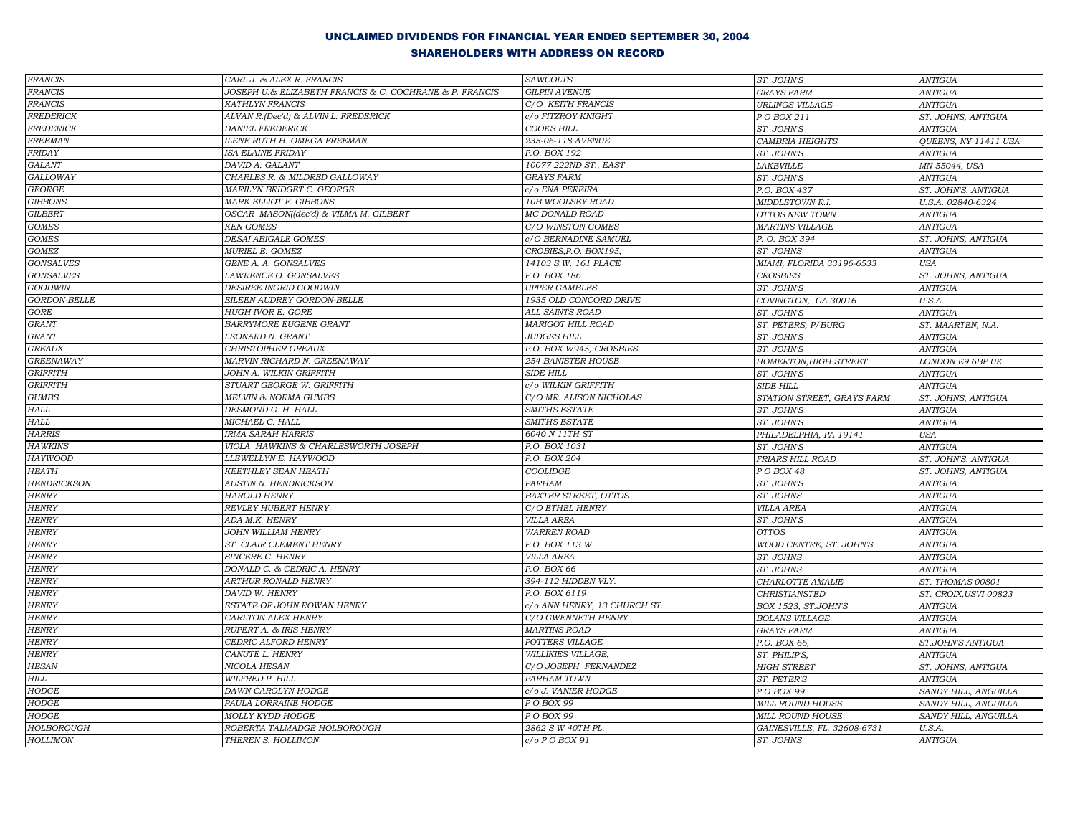| $\it FRANCIS$      | CARL J. & ALEX R. FRANCIS                               | <b>SAWCOLTS</b>              | ST. JOHN'S                   | <b>ANTIGUA</b>                     |
|--------------------|---------------------------------------------------------|------------------------------|------------------------------|------------------------------------|
| <b>FRANCIS</b>     | JOSEPH U.& ELIZABETH FRANCIS & C. COCHRANE & P. FRANCIS | <b>GILPIN AVENUE</b>         | <b>GRAYS FARM</b>            | <b>ANTIGUA</b>                     |
| <b>FRANCIS</b>     | KATHLYN FRANCIS                                         | C/O KEITH FRANCIS            | <b>URLINGS VILLAGE</b>       | <b>ANTIGUA</b>                     |
| <b>FREDERICK</b>   | ALVAN R.(Dec'd) & ALVIN L. FREDERICK                    | c/o FITZROY KNIGHT           | PO BOX 211                   | ST. JOHNS, ANTIGUA                 |
| <b>FREDERICK</b>   | <b>DANIEL FREDERICK</b>                                 | COOKS HILL                   | ST. JOHN'S                   | <b>ANTIGUA</b>                     |
| FREEMAN            | <b>ILENE RUTH H. OMEGA FREEMAN</b>                      | 235-06-118 AVENUE            | <b>CAMBRIA HEIGHTS</b>       | QUEENS, NY 11411 USA               |
| <b>FRIDAY</b>      | ISA ELAINE FRIDAY                                       | P.O. BOX 192                 | ST. JOHN'S                   | <b>ANTIGUA</b>                     |
| <b>GALANT</b>      | DAVID A. GALANT                                         | 10077 222ND ST., EAST        | LAKEVILLE                    | MN 55044, USA                      |
| <b>GALLOWAY</b>    | CHARLES R. & MILDRED GALLOWAY                           | <b>GRAYS FARM</b>            | ST. JOHN'S                   | <b>ANTIGUA</b>                     |
| <b>GEORGE</b>      | MARILYN BRIDGET C. GEORGE                               | c/o ENA PEREIRA              | P.O. BOX 437                 | ST. JOHN'S, ANTIGUA                |
| <b>GIBBONS</b>     | MARK ELLIOT F. GIBBONS                                  | 10B WOOLSEY ROAD             | MIDDLETOWN R.I.              | U.S.A. 02840-6324                  |
| <b>GILBERT</b>     | OSCAR MASON((dec'd) & VILMA M. GILBERT                  | <b>MC DONALD ROAD</b>        | OTTOS NEW TOWN               | <b>ANTIGUA</b>                     |
| <b>GOMES</b>       | <b>KEN GOMES</b>                                        | C/O WINSTON GOMES            | <b>MARTINS VILLAGE</b>       | <b>ANTIGUA</b>                     |
| $GOMES$            | DESAI ABIGALE GOMES                                     | c/O BERNADINE SAMUEL         | P. O. BOX 394                | ST. JOHNS, ANTIGUA                 |
| $GOMEZ$            | MURIEL E. GOMEZ                                         | CROBIES, P.O. BOX195,        | ST. JOHNS                    | <b>ANTIGUA</b>                     |
| <b>GONSALVES</b>   | GENE A. A. GONSALVES                                    | 14103 S.W. 161 PLACE         | MIAMI, FLORIDA 33196-6533    | <b>USA</b>                         |
| <b>GONSALVES</b>   | LAWRENCE O. GONSALVES                                   | P.O. BOX 186                 | <b>CROSBIES</b>              | ST. JOHNS, ANTIGUA                 |
| <b>GOODWIN</b>     | <b>DESIREE INGRID GOODWIN</b>                           | <b>UPPER GAMBLES</b>         | ST. JOHN'S                   | <b>ANTIGUA</b>                     |
| GORDON-BELLE       | EILEEN AUDREY GORDON-BELLE                              | 1935 OLD CONCORD DRIVE       | COVINGTON, GA 30016          | U.S.A.                             |
| <b>GORE</b>        | <b>HUGH IVOR E. GORE</b>                                | ALL SAINTS ROAD              | ST. JOHN'S                   | <b>ANTIGUA</b>                     |
| <b>GRANT</b>       | BARRYMORE EUGENE GRANT                                  | <b>MARIGOT HILL ROAD</b>     | ST. PETERS, P/BURG           | ST. MAARTEN, N.A.                  |
| <b>GRANT</b>       | LEONARD N. GRANT                                        | <b>JUDGES HILL</b>           | ST. JOHN'S                   | <b>ANTIGUA</b>                     |
| <b>GREAUX</b>      | CHRISTOPHER GREAUX                                      | P.O. BOX W945, CROSBIES      | ST. JOHN'S                   | <b>ANTIGUA</b>                     |
| <b>GREENAWAY</b>   | MARVIN RICHARD N. GREENAWAY                             | 254 BANISTER HOUSE           | <b>HOMERTON, HIGH STREET</b> | LONDON E9 6BP UK                   |
| <b>GRIFFITH</b>    | JOHN A. WILKIN GRIFFITH                                 | <b>SIDE HILL</b>             | ST. JOHN'S                   | <b>ANTIGUA</b>                     |
| <b>GRIFFITH</b>    | STUART GEORGE W. GRIFFITH                               | c/o WILKIN GRIFFITH          | <b>SIDE HILL</b>             | <b>ANTIGUA</b>                     |
| $GUMBS$            | MELVIN & NORMA GUMBS                                    | C/O MR. ALISON NICHOLAS      | STATION STREET, GRAYS FARM   | ST. JOHNS, ANTIGUA                 |
| ${\it HALL}$       | DESMOND G. H. HALL                                      | SMITHS ESTATE                | ST. JOHN'S                   | <b>ANTIGUA</b>                     |
| HALL               | MICHAEL C. HALL                                         | SMITHS ESTATE                | ST. JOHN'S                   | <b>ANTIGUA</b>                     |
| <b>HARRIS</b>      | IRMA SARAH HARRIS                                       | 6040 N 11TH ST               | PHILADELPHIA, PA 19141       | <b>USA</b>                         |
| <b>HAWKINS</b>     | VIOLA HAWKINS & CHARLESWORTH JOSEPH                     | P.O. BOX 1031                | ST. JOHN'S                   | <b>ANTIGUA</b>                     |
| <b>HAYWOOD</b>     | LLEWELLYN E. HAYWOOD                                    | P.O. BOX 204                 | FRIARS HILL ROAD             | ST. JOHN'S, ANTIGUA                |
| <b>HEATH</b>       | KEETHLEY SEAN HEATH                                     | <b>COOLIDGE</b>              | P O BOX 48                   | ST. JOHNS, ANTIGUA                 |
| <b>HENDRICKSON</b> | <b>AUSTIN N. HENDRICKSON</b>                            | PARHAM                       | ST. JOHN'S                   | <b>ANTIGUA</b>                     |
| <b>HENRY</b>       | <b>HAROLD HENRY</b>                                     | BAXTER STREET, OTTOS         | ST. JOHNS                    | <b>ANTIGUA</b>                     |
| <b>HENRY</b>       | REVLEY HUBERT HENRY                                     | C/O ETHEL HENRY              | <b>VILLA AREA</b>            | <b>ANTIGUA</b>                     |
| <b>HENRY</b>       | ADA M.K. HENRY                                          | <b>VILLA AREA</b>            | ST. JOHN'S                   | <b>ANTIGUA</b>                     |
| <b>HENRY</b>       | JOHN WILLIAM HENRY                                      | <b>WARREN ROAD</b>           | <b>OTTOS</b>                 | <b>ANTIGUA</b>                     |
| <b>HENRY</b>       | ST. CLAIR CLEMENT HENRY                                 | P.O. BOX 113 W               | WOOD CENTRE, ST. JOHN'S      | <b>ANTIGUA</b>                     |
| <b>HENRY</b>       | SINCERE C. HENRY                                        | <b>VILLA AREA</b>            | ST. JOHNS                    | <b>ANTIGUA</b>                     |
| <b>HENRY</b>       | DONALD C. & CEDRIC A. HENRY                             | P.O. BOX 66                  | ST. JOHNS                    | <b>ANTIGUA</b>                     |
| <b>HENRY</b>       | ARTHUR RONALD HENRY                                     | 394-112 HIDDEN VLY.          | CHARLOTTE AMALIE             | ST. THOMAS 00801                   |
| <b>HENRY</b>       | DAVID W. HENRY                                          | P.O. BOX 6119                | CHRISTIANSTED                | ST. CROIX, USVI 00823              |
| <b>HENRY</b>       | ESTATE OF JOHN ROWAN HENRY                              | c/o ANN HENRY, 13 CHURCH ST. | BOX 1523, ST.JOHN'S          | <b>ANTIGUA</b>                     |
| <b>HENRY</b>       | CARLTON ALEX HENRY                                      | C/O GWENNETH HENRY           | <b>BOLANS VILLAGE</b>        | $\label{eq:ampl} \textit{ANTIGUA}$ |
| <b>HENRY</b>       | RUPERT A. & IRIS HENRY                                  | <b>MARTINS ROAD</b>          | <b>GRAYS FARM</b>            | <b>ANTIGUA</b>                     |
| <b>HENRY</b>       | CEDRIC ALFORD HENRY                                     | POTTERS VILLAGE              | P.O. BOX 66,                 | ST.JOHN'S ANTIGUA                  |
| <b>HENRY</b>       | CANUTE L. HENRY                                         | <b>WILLIKIES VILLAGE,</b>    | ST. PHILIP'S,                | <b>ANTIGUA</b>                     |
| <b>HESAN</b>       | NICOLA HESAN                                            | C/O JOSEPH FERNANDEZ         | <b>HIGH STREET</b>           | ST. JOHNS, ANTIGUA                 |
| HILL               | WILFRED P. HILL                                         | PARHAM TOWN                  | ST. PETER'S                  | <b>ANTIGUA</b>                     |
| <b>HODGE</b>       | DAWN CAROLYN HODGE                                      | c/o J. VANIER HODGE          | P O BOX 99                   | SANDY HILL, ANGUILLA               |
| HODGE              | PAULA LORRAINE HODGE                                    | P O BOX 99                   | MILL ROUND HOUSE             | SANDY HILL, ANGUILLA               |
| $HODGE$            | MOLLY KYDD HODGE                                        | P O BOX 99                   | MILL ROUND HOUSE             | SANDY HILL, ANGUILLA               |
| <b>HOLBOROUGH</b>  | ROBERTA TALMADGE HOLBOROUGH                             | 2862 S W 40TH PL.            | GAINESVILLE, FL. 32608-6731  | U.S.A.                             |
| <b>HOLLIMON</b>    | THEREN S. HOLLIMON                                      | c/o P O BOX 91               | ST. JOHNS                    | <b>ANTIGUA</b>                     |
|                    |                                                         |                              |                              |                                    |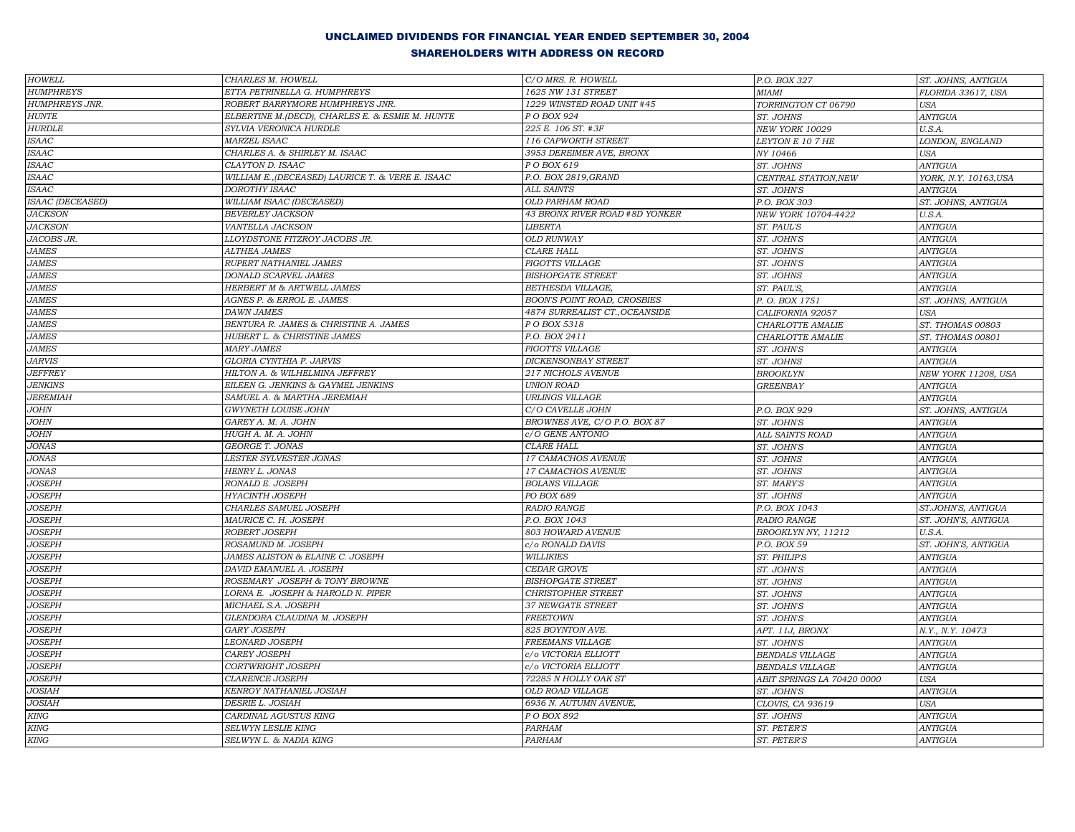| <b>HOWELL</b>                | CHARLES M. HOWELL                                 | C/O MRS. R. HOWELL                 | P.O. BOX 327               | ST. JOHNS, ANTIGUA    |
|------------------------------|---------------------------------------------------|------------------------------------|----------------------------|-----------------------|
| <b>HUMPHREYS</b>             | ETTA PETRINELLA G. HUMPHREYS                      | 1625 NW 131 STREET                 | MIAMI                      | FLORIDA 33617, USA    |
| <b>HUMPHREYS JNR.</b>        | ROBERT BARRYMORE HUMPHREYS JNR.                   | 1229 WINSTED ROAD UNIT #45         | TORRINGTON CT 06790        | <b>USA</b>            |
| <b>HUNTE</b>                 | ELBERTINE M. (DECD), CHARLES E. & ESMIE M. HUNTE  | P O BOX 924                        | ST. JOHNS                  | <b>ANTIGUA</b>        |
| <b>HURDLE</b>                | SYLVIA VERONICA HURDLE                            | 225 E. 106 ST. #3F                 | NEW YORK 10029             | U.S.A.                |
| <b>ISAAC</b>                 | MARZEL ISAAC                                      | 116 CAPWORTH STREET                | LEYTON E 10 7 HE           | LONDON, ENGLAND       |
| <b>ISAAC</b>                 | CHARLES A. & SHIRLEY M. ISAAC                     | 3953 DEREIMER AVE, BRONX           | NY 10466                   | <b>USA</b>            |
| <b>ISAAC</b>                 | CLAYTON D. ISAAC                                  | PO BOX 619                         | ST. JOHNS                  | <b>ANTIGUA</b>        |
| <b>ISAAC</b>                 | WILLIAM E., (DECEASED) LAURICE T. & VERE E. ISAAC | P.O. BOX 2819, GRAND               | CENTRAL STATION, NEW       | YORK, N.Y. 10163, USA |
| <b>ISAAC</b>                 | DOROTHY ISAAC                                     | <b>ALL SAINTS</b>                  | ST. JOHN'S                 | <b>ANTIGUA</b>        |
| <b>ISAAC (DECEASED)</b>      | WILLIAM ISAAC (DECEASED)                          | OLD PARHAM ROAD                    | P.O. BOX 303               | ST. JOHNS, ANTIGUA    |
| <b>JACKSON</b>               | <b>BEVERLEY JACKSON</b>                           | 43 BRONX RIVER ROAD #8D YONKER     | NEW YORK 10704-4422        | U.S.A.                |
| <b>JACKSON</b>               | VANTELLA JACKSON                                  | <b>LIBERTA</b>                     | ST. PAUL'S                 | <b>ANTIGUA</b>        |
| JACOBS JR.                   | LLOYDSTONE FITZROY JACOBS JR.                     | <b>OLD RUNWAY</b>                  | ST. JOHN'S                 | <b>ANTIGUA</b>        |
| <b>JAMES</b>                 | <b>ALTHEA JAMES</b>                               | <b>CLARE HALL</b>                  | ST. JOHN'S                 | <b>ANTIGUA</b>        |
| <b>JAMES</b>                 | RUPERT NATHANIEL JAMES                            | PIGOTTS VILLAGE                    | ST. JOHN'S                 | <b>ANTIGUA</b>        |
| <b>JAMES</b>                 | DONALD SCARVEL JAMES                              | <b>BISHOPGATE STREET</b>           | ST. JOHNS                  | <b>ANTIGUA</b>        |
| <b>JAMES</b>                 | <b>HERBERT M &amp; ARTWELL JAMES</b>              | BETHESDA VILLAGE,                  | ST. PAUL'S,                | <b>ANTIGUA</b>        |
| $JAMES$                      | AGNES P. & ERROL E. JAMES                         | <b>BOON'S POINT ROAD, CROSBIES</b> | P.O. BOX 1751              | ST. JOHNS, ANTIGUA    |
| <b>JAMES</b>                 | <b>DAWN JAMES</b>                                 | 4874 SURREALIST CT., OCEANSIDE     | CALIFORNIA 92057           | <b>USA</b>            |
| <b>JAMES</b>                 | BENTURA R. JAMES & CHRISTINE A. JAMES             | P O BOX 5318                       | CHARLOTTE AMALIE           | ST. THOMAS 00803      |
| <b>JAMES</b>                 | HUBERT L. & CHRISTINE JAMES                       | P.O. BOX 2411                      | CHARLOTTE AMALIE           | ST. THOMAS 00801      |
| $JAMES$                      | <b>MARY JAMES</b>                                 | PIGOTTS VILLAGE                    | ST. JOHN'S                 | <b>ANTIGUA</b>        |
| <b>JARVIS</b>                | GLORIA CYNTHIA P. JARVIS                          | <b>DICKENSONBAY STREET</b>         | ST. JOHNS                  | <b>ANTIGUA</b>        |
| <b>JEFFREY</b>               | HILTON A. & WILHELMINA JEFFREY                    | 217 NICHOLS AVENUE                 | <b>BROOKLYN</b>            | NEW YORK 11208, USA   |
| <b>JENKINS</b>               | EILEEN G. JENKINS & GAYMEL JENKINS                | <b>UNION ROAD</b>                  | <b>GREENBAY</b>            | <b>ANTIGUA</b>        |
| <b>JEREMIAH</b>              | SAMUEL A. & MARTHA JEREMIAH                       | <b>URLINGS VILLAGE</b>             |                            | <b>ANTIGUA</b>        |
| $JOHN$                       | GWYNETH LOUISE JOHN                               | C/O CAVELLE JOHN                   | P.O. BOX 929               | ST. JOHNS, ANTIGUA    |
| $JOHN$                       | GAREY A. M. A. JOHN                               | BROWNES AVE, C/O P.O. BOX 87       | ST. JOHN'S                 | <b>ANTIGUA</b>        |
| JOHN                         | HUGH A. M. A. JOHN                                | c/O GENE ANTONIO                   | ALL SAINTS ROAD            | <b>ANTIGUA</b>        |
| <b>JONAS</b>                 | GEORGE T. JONAS                                   | <b>CLARE HALL</b>                  | ST. JOHN'S                 | <b>ANTIGUA</b>        |
| <b>JONAS</b>                 | LESTER SYLVESTER JONAS                            | 17 CAMACHOS AVENUE                 | ST. JOHNS                  | <b>ANTIGUA</b>        |
| $JONAS$                      | HENRY L. JONAS                                    | 17 CAMACHOS AVENUE                 | ST. JOHNS                  | <b>ANTIGUA</b>        |
| <b>JOSEPH</b>                | RONALD E. JOSEPH                                  | <b>BOLANS VILLAGE</b>              | ST. MARY'S                 | <b>ANTIGUA</b>        |
| <b>JOSEPH</b>                | HYACINTH JOSEPH                                   | PO BOX 689                         | ST. JOHNS                  | <b>ANTIGUA</b>        |
| <b>JOSEPH</b>                | CHARLES SAMUEL JOSEPH                             | RADIO RANGE                        | P.O. BOX 1043              | ST.JOHN'S, ANTIGUA    |
| <b>JOSEPH</b>                | MAURICE C. H. JOSEPH                              | P.O. BOX 1043                      | RADIO RANGE                | ST. JOHN'S, ANTIGUA   |
| <b>JOSEPH</b>                | ROBERT JOSEPH                                     | 803 HOWARD AVENUE                  | BROOKLYN NY, 11212         | U.S.A.                |
| <b>JOSEPH</b>                | ROSAMUND M. JOSEPH                                | c/o RONALD DAVIS                   | P.O. BOX 59                | ST. JOHN'S, ANTIGUA   |
| <b>JOSEPH</b>                | JAMES ALISTON & ELAINE C. JOSEPH                  | <b>WILLIKIES</b>                   | ST. PHILIP'S               | <b>ANTIGUA</b>        |
| <b>JOSEPH</b>                | DAVID EMANUEL A. JOSEPH                           | CEDAR GROVE                        | ST. JOHN'S                 | <b>ANTIGUA</b>        |
| <b>JOSEPH</b>                | ROSEMARY JOSEPH & TONY BROWNE                     | <b>BISHOPGATE STREET</b>           | ST. JOHNS                  | $\overline{ANTIGUA}$  |
| <b>JOSEPH</b>                | LORNA E. JOSEPH & HAROLD N. PIPER                 | <b>CHRISTOPHER STREET</b>          | ST. JOHNS                  | <b>ANTIGUA</b>        |
| <b>JOSEPH</b>                | MICHAEL S.A. JOSEPH                               | <b>37 NEWGATE STREET</b>           | ST. JOHN'S                 | <b>ANTIGUA</b>        |
| <b>JOSEPH</b>                | GLENDORA CLAUDINA M. JOSEPH                       | <b>FREETOWN</b>                    | ST. JOHN'S                 | <b>ANTIGUA</b>        |
| <b>JOSEPH</b>                | <b>GARY JOSEPH</b>                                | 825 BOYNTON AVE.                   | APT. 11J, BRONX            | N.Y., N.Y. 10473      |
| <b>JOSEPH</b>                | <b>LEONARD JOSEPH</b>                             | FREEMANS VILLAGE                   | ST. JOHN'S                 | <b>ANTIGUA</b>        |
| <b>JOSEPH</b>                | CAREY JOSEPH                                      | c/o VICTORIA ELLIOTT               | <b>BENDALS VILLAGE</b>     | <b>ANTIGUA</b>        |
| <b>JOSEPH</b>                | CORTWRIGHT JOSEPH                                 | c/o VICTORIA ELLIOTT               | <b>BENDALS VILLAGE</b>     | $\overline{ANTIGUA}$  |
| <b>JOSEPH</b>                | <b>CLARENCE JOSEPH</b>                            | 72285 N HOLLY OAK ST               | ABIT SPRINGS LA 70420 0000 | USA                   |
| <b>JOSIAH</b>                | KENROY NATHANIEL JOSIAH                           | OLD ROAD VILLAGE                   | ST. JOHN'S                 | ANTIGUA               |
| <b>JOSIAH</b>                | DESRIE L. JOSIAH                                  | 6936 N. AUTUMN AVENUE,             | CLOVIS, CA 93619           | <b>USA</b>            |
| KING                         | CARDINAL AGUSTUS KING                             | P O BOX 892                        | ST. JOHNS                  | <b>ANTIGUA</b>        |
| KING                         | SELWYN LESLIE KING                                | PARHAM                             | ST. PETER'S                | <b>ANTIGUA</b>        |
| $\ensuremath{\textit{KING}}$ |                                                   | PARHAM                             |                            |                       |
|                              | SELWYN L. & NADIA KING                            |                                    | ST. PETER'S                | <b>ANTIGUA</b>        |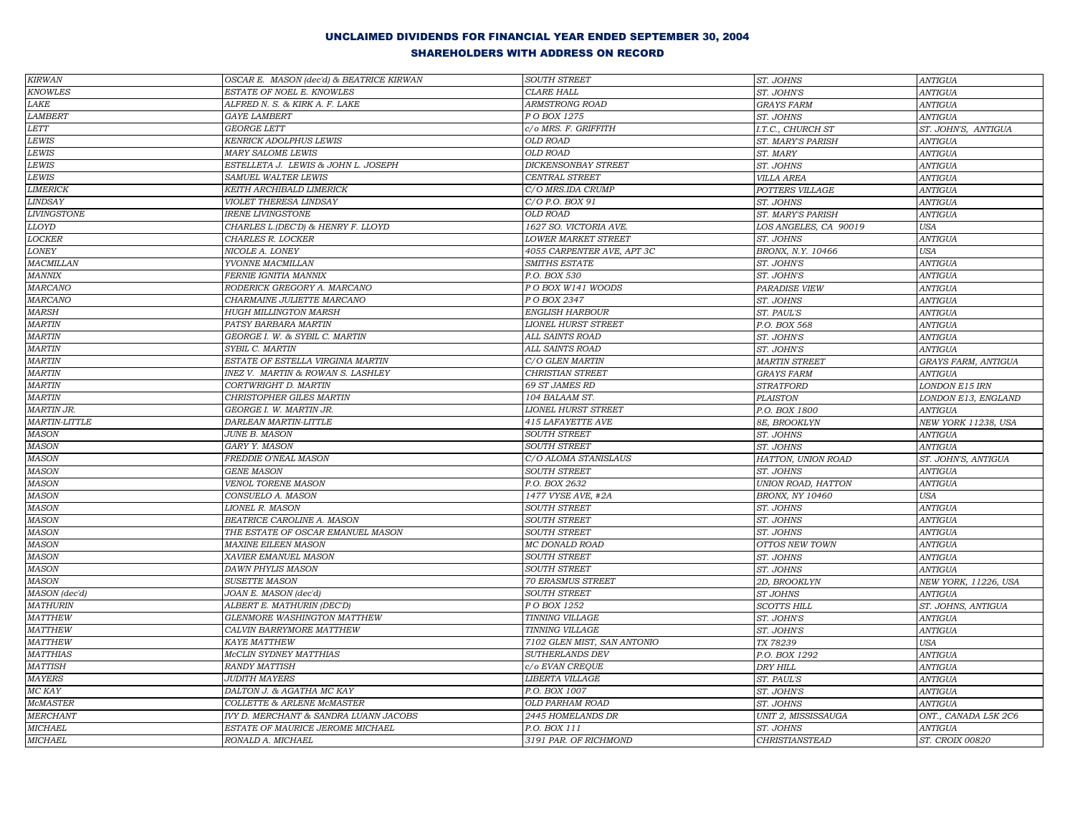| KIRWAN                                         | OSCAR E. MASON (dec'd) & BEATRICE KIRWAN | <b>SOUTH STREET</b>         | ST. JOHNS                 | <b>ANTIGUA</b>        |
|------------------------------------------------|------------------------------------------|-----------------------------|---------------------------|-----------------------|
| <b>KNOWLES</b>                                 | ESTATE OF NOEL E. KNOWLES                | <b>CLARE HALL</b>           | ST. JOHN'S                | <b>ANTIGUA</b>        |
| LAKE                                           | ALFRED N. S. & KIRK A. F. LAKE           | ARMSTRONG ROAD              | <b>GRAYS FARM</b>         | <b>ANTIGUA</b>        |
| <b>LAMBERT</b>                                 | <b>GAYE LAMBERT</b>                      | P O BOX 1275                | ST. JOHNS                 | <b>ANTIGUA</b>        |
| LETT                                           | <b>GEORGE LETT</b>                       | c/o MRS. F. GRIFFITH        | I.T.C., CHURCH ST         | ST. JOHN'S, ANTIGUA   |
| LEWIS                                          | <b>KENRICK ADOLPHUS LEWIS</b>            | <b>OLD ROAD</b>             | ST. MARY'S PARISH         | <b>ANTIGUA</b>        |
| $\it LEWIS$                                    | <b>MARY SALOME LEWIS</b>                 | <b>OLD ROAD</b>             | ST. MARY                  | <b>ANTIGUA</b>        |
| <b>LEWIS</b>                                   | ESTELLETA J. LEWIS & JOHN L. JOSEPH      | <b>DICKENSONBAY STREET</b>  | ST. JOHNS                 | <b>ANTIGUA</b>        |
| $\it LEWIS$                                    | SAMUEL WALTER LEWIS                      | CENTRAL STREET              | <b>VILLA AREA</b>         | <b>ANTIGUA</b>        |
| <b>LIMERICK</b>                                | KEITH ARCHIBALD LIMERICK                 | C/O MRS.IDA CRUMP           | POTTERS VILLAGE           | <b>ANTIGUA</b>        |
| <b>LINDSAY</b>                                 | VIOLET THERESA LINDSAY                   | C/O P.O. BOX 91             | ST. JOHNS                 | <b>ANTIGUA</b>        |
| <b>LIVINGSTONE</b>                             | <b>IRENE LIVINGSTONE</b>                 | OLD ROAD                    | ST. MARY'S PARISH         | <b>ANTIGUA</b>        |
| <b>LLOYD</b>                                   | CHARLES L.(DEC'D) & HENRY F. LLOYD       | 1627 SO. VICTORIA AVE.      | LOS ANGELES, CA 90019     | USA                   |
| $\mathit{LOCKER}$                              | CHARLES R. LOCKER                        | <b>LOWER MARKET STREET</b>  | ST. JOHNS                 | <b>ANTIGUA</b>        |
| LONEY                                          | NICOLE A. LONEY                          | 4055 CARPENTER AVE, APT 3C  | BRONX, N.Y. 10466         | <b>USA</b>            |
| <b>MACMILLAN</b>                               | YVONNE MACMILLAN                         | SMITHS ESTATE               | ST. JOHN'S                | <b>ANTIGUA</b>        |
| MANNIX                                         | FERNIE IGNITIA MANNIX                    | P.O. BOX 530                | ST. JOHN'S                | <b>ANTIGUA</b>        |
| <b>MARCANO</b>                                 | RODERICK GREGORY A. MARCANO              | PO BOX W141 WOODS           | PARADISE VIEW             | <b>ANTIGUA</b>        |
| <b>MARCANO</b>                                 | CHARMAINE JULIETTE MARCANO               | P O BOX 2347                | ST. JOHNS                 | <b>ANTIGUA</b>        |
| <b>MARSH</b>                                   | <b>HUGH MILLINGTON MARSH</b>             | <b>ENGLISH HARBOUR</b>      | ST. PAUL'S                | <b>ANTIGUA</b>        |
| <b>MARTIN</b>                                  | PATSY BARBARA MARTIN                     | <b>LIONEL HURST STREET</b>  | P.O. BOX 568              | <b>ANTIGUA</b>        |
| <b>MARTIN</b>                                  | GEORGE I. W. & SYBIL C. MARTIN           | ALL SAINTS ROAD             | ST. JOHN'S                | <b>ANTIGUA</b>        |
| <b>MARTIN</b>                                  | SYBIL C. MARTIN                          | ALL SAINTS ROAD             | ST. JOHN'S                | <b>ANTIGUA</b>        |
| <b>MARTIN</b>                                  | ESTATE OF ESTELLA VIRGINIA MARTIN        | C/O GLEN MARTIN             | <b>MARTIN STREET</b>      | GRAYS FARM, ANTIGUA   |
| <b>MARTIN</b>                                  | INEZ V. MARTIN & ROWAN S. LASHLEY        | <b>CHRISTIAN STREET</b>     | <b>GRAYS FARM</b>         | <b>ANTIGUA</b>        |
| <b>MARTIN</b>                                  | CORTWRIGHT D. MARTIN                     | 69 ST JAMES RD              | <b>STRATFORD</b>          | <b>LONDON E15 IRN</b> |
| <b>MARTIN</b>                                  | CHRISTOPHER GILES MARTIN                 | 104 BALAAM ST.              | <b>PLAISTON</b>           | LONDON E13, ENGLAND   |
| <b>MARTIN JR.</b>                              | GEORGE I. W. MARTIN JR.                  | <b>LIONEL HURST STREET</b>  | P.O. BOX 1800             | <b>ANTIGUA</b>        |
| MARTIN-LITTLE                                  | DARLEAN MARTIN-LITTLE                    | 415 LAFAYETTE AVE           | 8E, BROOKLYN              | NEW YORK 11238, USA   |
| <b>MASON</b>                                   | <b>JUNE B. MASON</b>                     | <b>SOUTH STREET</b>         | ST. JOHNS                 | <b>ANTIGUA</b>        |
| <b>MASON</b>                                   | GARY Y. MASON                            | <b>SOUTH STREET</b>         | ST. JOHNS                 | <b>ANTIGUA</b>        |
| $\it{MASON}$                                   | FREDDIE O'NEAL MASON                     | C/O ALOMA STANISLAUS        | HATTON, UNION ROAD        | ST. JOHN'S, ANTIGUA   |
| <b>MASON</b>                                   | <b>GENE MASON</b>                        | <b>SOUTH STREET</b>         | ST. JOHNS                 | <b>ANTIGUA</b>        |
| <b>MASON</b>                                   | VENOL TORENE MASON                       | P.O. BOX 2632               | UNION ROAD, HATTON        | <b>ANTIGUA</b>        |
| <b>MASON</b>                                   | CONSUELO A. MASON                        | 1477 VYSE AVE, #2A          | <b>BRONX, NY 10460</b>    | <b>USA</b>            |
| <b>MASON</b>                                   | LIONEL R. MASON                          | <b>SOUTH STREET</b>         | ST. JOHNS                 | <b>ANTIGUA</b>        |
| MASON                                          | BEATRICE CAROLINE A. MASON               | <b>SOUTH STREET</b>         | ST. JOHNS                 | <b>ANTIGUA</b>        |
| <b>MASON</b>                                   | THE ESTATE OF OSCAR EMANUEL MASON        | <b>SOUTH STREET</b>         | ST. JOHNS                 | <b>ANTIGUA</b>        |
| MASON                                          | <b>MAXINE EILEEN MASON</b>               | MC DONALD ROAD              | OTTOS NEW TOWN            | <b>ANTIGUA</b>        |
| <b>MASON</b>                                   | XAVIER EMANUEL MASON                     | <b>SOUTH STREET</b>         | ST. JOHNS                 | <b>ANTIGUA</b>        |
| <b>MASON</b>                                   | <b>DAWN PHYLIS MASON</b>                 | <b>SOUTH STREET</b>         |                           | <b>ANTIGUA</b>        |
| <b>MASON</b>                                   | <b>SUSETTE MASON</b>                     | <b>70 ERASMUS STREET</b>    | ST. JOHNS<br>2D, BROOKLYN | NEW YORK, 11226, USA  |
|                                                | JOAN E. MASON (dec'd)                    | <b>SOUTH STREET</b>         |                           | <b>ANTIGUA</b>        |
| $\overline{M}$ ASON (dec'd)<br><b>MATHURIN</b> |                                          | P O BOX 1252                | ST JOHNS                  |                       |
| <b>MATTHEW</b>                                 | ALBERT E. MATHURIN (DEC'D)               |                             | <b>SCOTTS HILL</b>        | ST. JOHNS, ANTIGUA    |
|                                                | GLENMORE WASHINGTON MATTHEW              | TINNING VILLAGE             | ST. JOHN'S                | <b>ANTIGUA</b>        |
| MATTHEW                                        | CALVIN BARRYMORE MATTHEW                 | TINNING VILLAGE             | ST. JOHN'S                | <b>ANTIGUA</b>        |
| <b>MATTHEW</b>                                 | KAYE MATTHEW                             | 7102 GLEN MIST, SAN ANTONIO | TX 78239                  | USA                   |
| <b>MATTHIAS</b>                                | McCLIN SYDNEY MATTHIAS                   | SUTHERLANDS DEV             | P.O. BOX 1292             | <b>ANTIGUA</b>        |
| <b>MATTISH</b>                                 | <b>RANDY MATTISH</b>                     | c/o EVAN CREQUE             | <b>DRY HILL</b>           | <b>ANTIGUA</b>        |
| <b>MAYERS</b>                                  | <b>JUDITH MAYERS</b>                     | LIBERTA VILLAGE             | ST. PAUL'S                | <b>ANTIGUA</b>        |
| MC KAY                                         | DALTON J. & AGATHA MC KAY                | P.O. BOX 1007               | ST. JOHN'S                | <b>ANTIGUA</b>        |
| <b>McMASTER</b>                                | COLLETTE & ARLENE McMASTER               | OLD PARHAM ROAD             | ST. JOHNS                 | <b>ANTIGUA</b>        |
| MERCHANT                                       | IVY D. MERCHANT & SANDRA LUANN JACOBS    | 2445 HOMELANDS DR           | UNIT 2, MISSISSAUGA       | ONT., CANADA L5K 2C6  |
| <b>MICHAEL</b>                                 | ESTATE OF MAURICE JEROME MICHAEL         | P.O. BOX 111                | ST. JOHNS                 | <b>ANTIGUA</b>        |
| $\it MICHAEL$                                  | RONALD A. MICHAEL                        | 3191 PAR. OF RICHMOND       | CHRISTIANSTEAD            | ST. CROIX 00820       |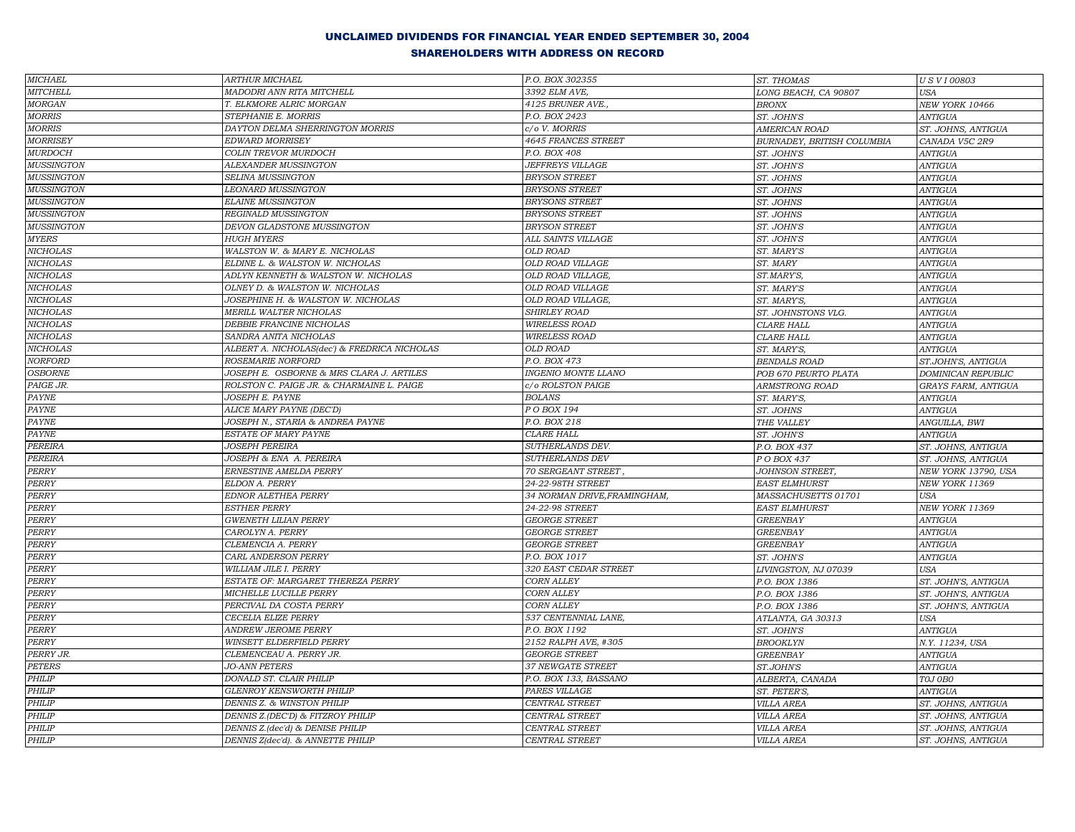| <b>MICHAEL</b>    | <b>ARTHUR MICHAEL</b>                        | P.O. BOX 302355              | ST. THOMAS                 | <b>USVI00803</b>          |
|-------------------|----------------------------------------------|------------------------------|----------------------------|---------------------------|
| <b>MITCHELL</b>   | MADODRI ANN RITA MITCHELL                    | 3392 ELM AVE,                | LONG BEACH, CA 90807       | USA                       |
| <b>MORGAN</b>     | T. ELKMORE ALRIC MORGAN                      | 4125 BRUNER AVE.,            | <b>BRONX</b>               | NEW YORK 10466            |
| <b>MORRIS</b>     | STEPHANIE E. MORRIS                          | P.O. BOX 2423                | ST. JOHN'S                 | <b>ANTIGUA</b>            |
| <b>MORRIS</b>     | DAYTON DELMA SHERRINGTON MORRIS              | c/o V. MORRIS                | AMERICAN ROAD              | ST. JOHNS, ANTIGUA        |
| <b>MORRISEY</b>   | <b>EDWARD MORRISEY</b>                       | 4645 FRANCES STREET          | BURNADEY, BRITISH COLUMBIA | CANADA V5C 2R9            |
| <b>MURDOCH</b>    | COLIN TREVOR MURDOCH                         | P.O. BOX 408                 | ST. JOHN'S                 | <b>ANTIGUA</b>            |
| <b>MUSSINGTON</b> | ALEXANDER MUSSINGTON                         | <b>JEFFREYS VILLAGE</b>      | ST. JOHN'S                 | <b>ANTIGUA</b>            |
| <b>MUSSINGTON</b> | SELINA MUSSINGTON                            | <b>BRYSON STREET</b>         | ST. JOHNS                  | <b>ANTIGUA</b>            |
| <b>MUSSINGTON</b> | LEONARD MUSSINGTON                           | <b>BRYSONS STREET</b>        | ST. JOHNS                  | <b>ANTIGUA</b>            |
| <b>MUSSINGTON</b> | <b>ELAINE MUSSINGTON</b>                     | BRYSONS STREET               | ST. JOHNS                  | <b>ANTIGUA</b>            |
| <b>MUSSINGTON</b> | REGINALD MUSSINGTON                          | <b>BRYSONS STREET</b>        | ST. JOHNS                  | <b>ANTIGUA</b>            |
| <b>MUSSINGTON</b> | DEVON GLADSTONE MUSSINGTON                   | <b>BRYSON STREET</b>         | ST. JOHN'S                 | <b>ANTIGUA</b>            |
| MYERS             | <b>HUGH MYERS</b>                            | ALL SAINTS VILLAGE           | ST. JOHN'S                 | <b>ANTIGUA</b>            |
| <b>NICHOLAS</b>   | WALSTON W. & MARY E. NICHOLAS                | OLD ROAD                     | ST. MARY'S                 | <b>ANTIGUA</b>            |
| <b>NICHOLAS</b>   | ELDINE L. & WALSTON W. NICHOLAS              | <b>OLD ROAD VILLAGE</b>      | ST. MARY                   | <b>ANTIGUA</b>            |
| <b>NICHOLAS</b>   | ADLYN KENNETH & WALSTON W. NICHOLAS          | OLD ROAD VILLAGE,            | ST.MARY'S,                 | <b>ANTIGUA</b>            |
| <b>NICHOLAS</b>   | OLNEY D. & WALSTON W. NICHOLAS               | OLD ROAD VILLAGE             | ST. MARY'S                 | <b>ANTIGUA</b>            |
| <b>NICHOLAS</b>   | JOSEPHINE H. & WALSTON W. NICHOLAS           | OLD ROAD VILLAGE,            | ST. MARY'S,                | <b>ANTIGUA</b>            |
| <b>NICHOLAS</b>   | MERILL WALTER NICHOLAS                       | <b>SHIRLEY ROAD</b>          | ST. JOHNSTONS VLG.         | <b>ANTIGUA</b>            |
| <b>NICHOLAS</b>   | DEBBIE FRANCINE NICHOLAS                     | <b>WIRELESS ROAD</b>         | <b>CLARE HALL</b>          | <b>ANTIGUA</b>            |
| <b>NICHOLAS</b>   | SANDRA ANITA NICHOLAS                        | <b>WIRELESS ROAD</b>         | CLARE HALL                 | <b>ANTIGUA</b>            |
| <b>NICHOLAS</b>   | ALBERT A. NICHOLAS(dec') & FREDRICA NICHOLAS | <b>OLD ROAD</b>              | ST. MARY'S,                | <b>ANTIGUA</b>            |
| <b>NORFORD</b>    | ROSEMARIE NORFORD                            | P.O. BOX 473                 | <b>BENDALS ROAD</b>        | ST.JOHN'S, ANTIGUA        |
| <b>OSBORNE</b>    | JOSEPH E. OSBORNE & MRS CLARA J. ARTILES     | <b>INGENIO MONTE LLANO</b>   | POB 670 PEURTO PLATA       | <b>DOMINICAN REPUBLIC</b> |
| PAIGE JR.         | ROLSTON C. PAIGE JR. & CHARMAINE L. PAIGE    | c/o ROLSTON PAIGE            | ARMSTRONG ROAD             | GRAYS FARM, ANTIGUA       |
| PAYNE             | JOSEPH E. PAYNE                              | <b>BOLANS</b>                | ST. MARY'S,                | <b>ANTIGUA</b>            |
| <b>PAYNE</b>      | ALICE MARY PAYNE (DEC'D)                     | P O BOX 194                  | ST. JOHNS                  | ANTIGUA                   |
| PAYNE             | JOSEPH N., STARIA & ANDREA PAYNE             | P.O. BOX 218                 | THE VALLEY                 | ANGUILLA, BWI             |
| PAYNE             | ESTATE OF MARY PAYNE                         | <b>CLARE HALL</b>            | ST. JOHN'S                 | <b>ANTIGUA</b>            |
| PEREIRA           | <b>JOSEPH PEREIRA</b>                        | SUTHERLANDS DEV.             | P.O. BOX 437               | ST. JOHNS, ANTIGUA        |
| PEREIRA           | JOSEPH & ENA A. PEREIRA                      | SUTHERLANDS DEV              | P O BOX 437                | ST. JOHNS, ANTIGUA        |
| PERRY             | ERNESTINE AMELDA PERRY                       | 70 SERGEANT STREET,          | JOHNSON STREET,            | NEW YORK 13790, USA       |
| PERRY             | ELDON A. PERRY                               | 24-22-98TH STREET            | EAST ELMHURST              | NEW YORK 11369            |
| PERRY             | EDNOR ALETHEA PERRY                          | 34 NORMAN DRIVE, FRAMINGHAM, | MASSACHUSETTS 01701        | <b>USA</b>                |
| PERRY             | <b>ESTHER PERRY</b>                          | 24-22-98 STREET              | <b>EAST ELMHURST</b>       | NEW YORK 11369            |
| PERRY             | <b>GWENETH LILIAN PERRY</b>                  | <b>GEORGE STREET</b>         | <b>GREENBAY</b>            | <b>ANTIGUA</b>            |
| PERRY             | CAROLYN A. PERRY                             | <b>GEORGE STREET</b>         | <b>GREENBAY</b>            | <b>ANTIGUA</b>            |
| PERRY             | CLEMENCIA A. PERRY                           | <b>GEORGE STREET</b>         | <b>GREENBAY</b>            | <b>ANTIGUA</b>            |
| PERRY             | CARL ANDERSON PERRY                          | P.O. BOX 1017                | ST. JOHN'S                 | <b>ANTIGUA</b>            |
| PERRY             | WILLIAM JILE I. PERRY                        | 320 EAST CEDAR STREET        | LIVINGSTON, NJ 07039       | <b>USA</b>                |
| PERRY             | ESTATE OF: MARGARET THEREZA PERRY            | <b>CORN ALLEY</b>            | P.O. BOX 1386              | ST. JOHN'S, ANTIGUA       |
| PERRY             | MICHELLE LUCILLE PERRY                       | <b>CORN ALLEY</b>            | P.O. BOX 1386              | ST. JOHN'S, ANTIGUA       |
| PERRY             | PERCIVAL DA COSTA PERRY                      | <b>CORN ALLEY</b>            | P.O. BOX 1386              | ST. JOHN'S, ANTIGUA       |
| PERRY             | <b>CECELIA ELIZE PERRY</b>                   | 537 CENTENNIAL LANE,         | ATLANTA, GA 30313          | <b>USA</b>                |
| PERRY             | <b>ANDREW JEROME PERRY</b>                   | P.O. BOX 1192                | ST. JOHN'S                 | <b>ANTIGUA</b>            |
| PERRY             | WINSETT ELDERFIELD PERRY                     | 2152 RALPH AVE, #305         | <b>BROOKLYN</b>            | N.Y. 11234, USA           |
| PERRY JR.         | CLEMENCEAU A. PERRY JR.                      | <b>GEORGE STREET</b>         | <b>GREENBAY</b>            | <b>ANTIGUA</b>            |
| PETERS            | <b>JO-ANN PETERS</b>                         | 37 NEWGATE STREET            | ST.JOHN'S                  | <b>ANTIGUA</b>            |
| PHILIP            | DONALD ST. CLAIR PHILIP                      | P.O. BOX 133, BASSANO        | ALBERTA, CANADA            | TOJ OBO                   |
| PHILIP            | <b>GLENROY KENSWORTH PHILIP</b>              | PARES VILLAGE                | ST. PETER'S,               | <b>ANTIGUA</b>            |
| PHILIP            | DENNIS Z. & WINSTON PHILIP                   | <b>CENTRAL STREET</b>        | <b>VILLA AREA</b>          | ST. JOHNS, ANTIGUA        |
| PHILIP            | DENNIS Z.(DEC'D) & FITZROY PHILIP            | CENTRAL STREET               | <b>VILLA AREA</b>          | ST. JOHNS, ANTIGUA        |
| PHILIP            | DENNIS Z.(dec'd) & DENISE PHILIP             | <b>CENTRAL STREET</b>        | <b>VILLA AREA</b>          | ST. JOHNS, ANTIGUA        |
| PHILIP            | DENNIS Z(dec'd). & ANNETTE PHILIP            | <b>CENTRAL STREET</b>        | <b>VILLA AREA</b>          | ST. JOHNS, ANTIGUA        |
|                   |                                              |                              |                            |                           |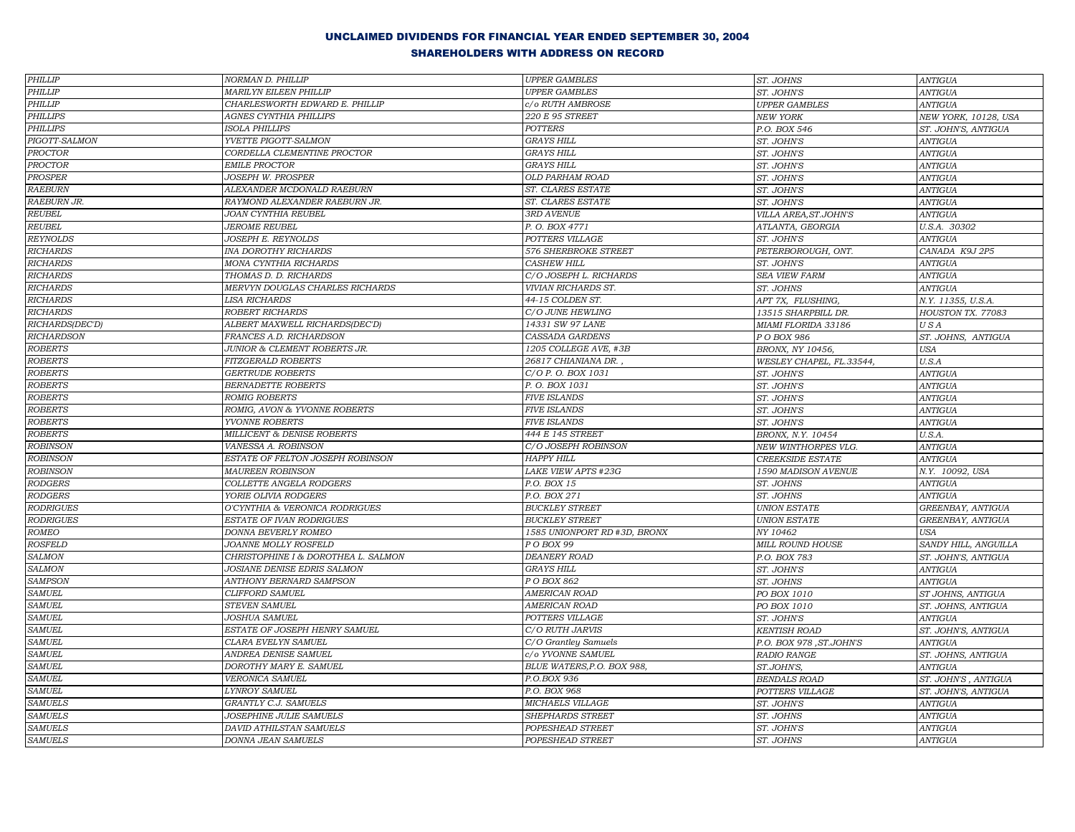| PHILLIP           | NORMAN D. PHILLIP                   | <b>UPPER GAMBLES</b>         | ST. JOHNS                | <b>ANTIGUA</b>       |
|-------------------|-------------------------------------|------------------------------|--------------------------|----------------------|
| PHILLIP           | <b>MARILYN EILEEN PHILLIP</b>       | <b>UPPER GAMBLES</b>         | ST. JOHN'S               | <b>ANTIGUA</b>       |
| <b>PHILLIP</b>    | CHARLESWORTH EDWARD E. PHILLIP      | c/o RUTH AMBROSE             | <b>UPPER GAMBLES</b>     | <b>ANTIGUA</b>       |
| <b>PHILLIPS</b>   | AGNES CYNTHIA PHILLIPS              | 220 E 95 STREET              | <b>NEW YORK</b>          | NEW YORK, 10128, USA |
| <b>PHILLIPS</b>   | <b>ISOLA PHILLIPS</b>               | <b>POTTERS</b>               | P.O. BOX 546             | ST. JOHN'S, ANTIGUA  |
| PIGOTT-SALMON     | YVETTE PIGOTT-SALMON                | <b>GRAYS HILL</b>            | ST. JOHN'S               | <b>ANTIGUA</b>       |
| <b>PROCTOR</b>    | CORDELLA CLEMENTINE PROCTOR         | <b>GRAYS HILL</b>            | ST. JOHN'S               | <b>ANTIGUA</b>       |
| PROCTOR           | <b>EMILE PROCTOR</b>                | <b>GRAYS HILL</b>            | ST. JOHN'S               | <b>ANTIGUA</b>       |
| PROSPER           | JOSEPH W. PROSPER                   | OLD PARHAM ROAD              | ST. JOHN'S               | <b>ANTIGUA</b>       |
| <b>RAEBURN</b>    | ALEXANDER MCDONALD RAEBURN          | ST. CLARES ESTATE            | ST. JOHN'S               | <b>ANTIGUA</b>       |
| RAEBURN JR.       | RAYMOND ALEXANDER RAEBURN JR.       | ST. CLARES ESTATE            | ST. JOHN'S               | <b>ANTIGUA</b>       |
| <b>REUBEL</b>     | JOAN CYNTHIA REUBEL                 | 3RD AVENUE                   | VILLA AREA, ST.JOHN'S    | <b>ANTIGUA</b>       |
| REUBEL            | <b>JEROME REUBEL</b>                | P.O. BOX 4771                | ATLANTA, GEORGIA         | U.S.A. 30302         |
| <b>REYNOLDS</b>   | JOSEPH E. REYNOLDS                  | POTTERS VILLAGE              | ST. JOHN'S               | <b>ANTIGUA</b>       |
| <b>RICHARDS</b>   | INA DOROTHY RICHARDS                | 576 SHERBROKE STREET         | PETERBOROUGH, ONT.       | CANADA K9J 2P5       |
| <b>RICHARDS</b>   | MONA CYNTHIA RICHARDS               | <b>CASHEW HILL</b>           | ST. JOHN'S               | <b>ANTIGUA</b>       |
| <b>RICHARDS</b>   | THOMAS D. D. RICHARDS               | C/O JOSEPH L. RICHARDS       | SEA VIEW FARM            | <b>ANTIGUA</b>       |
| <b>RICHARDS</b>   | MERVYN DOUGLAS CHARLES RICHARDS     | VIVIAN RICHARDS ST.          | ST. JOHNS                | <b>ANTIGUA</b>       |
| <b>RICHARDS</b>   | <b>LISA RICHARDS</b>                | 44-15 COLDEN ST.             | APT 7X, FLUSHING,        | N.Y. 11355, U.S.A.   |
| <b>RICHARDS</b>   | ROBERT RICHARDS                     | C/O JUNE HEWLING             | 13515 SHARPBILL DR.      | HOUSTON TX. 77083    |
| RICHARDS(DEC'D)   | ALBERT MAXWELL RICHARDS(DEC'D)      | 14331 SW 97 LANE             | MIAMI FLORIDA 33186      | USA                  |
| <b>RICHARDSON</b> | FRANCES A.D. RICHARDSON             | CASSADA GARDENS              | P O BOX 986              | ST. JOHNS, ANTIGUA   |
| <b>ROBERTS</b>    | JUNIOR & CLEMENT ROBERTS JR.        | 1205 COLLEGE AVE, #3B        | BRONX, NY 10456,         | <b>USA</b>           |
| <b>ROBERTS</b>    | <b>FITZGERALD ROBERTS</b>           | 26817 CHIANIANA DR.          | WESLEY CHAPEL, FL.33544, | $U.S.A$              |
| <b>ROBERTS</b>    | <b>GERTRUDE ROBERTS</b>             | C/O P. O. BOX 1031           | ST. JOHN'S               | <b>ANTIGUA</b>       |
| <b>ROBERTS</b>    | <b>BERNADETTE ROBERTS</b>           | P. O. BOX 1031               | ST. JOHN'S               | <b>ANTIGUA</b>       |
| <b>ROBERTS</b>    | <b>ROMIG ROBERTS</b>                | <b>FIVE ISLANDS</b>          | ST. JOHN'S               | <b>ANTIGUA</b>       |
| <b>ROBERTS</b>    | ROMIG, AVON & YVONNE ROBERTS        | <b>FIVE ISLANDS</b>          | ST. JOHN'S               | <b>ANTIGUA</b>       |
| <b>ROBERTS</b>    | YVONNE ROBERTS                      | <b>FIVE ISLANDS</b>          | ST. JOHN'S               | <b>ANTIGUA</b>       |
| <b>ROBERTS</b>    | MILLICENT & DENISE ROBERTS          | 444 E 145 STREET             | BRONX, N.Y. 10454        | U.S.A.               |
| <b>ROBINSON</b>   | VANESSA A. ROBINSON                 | C/O JOSEPH ROBINSON          | NEW WINTHORPES VLG.      | <b>ANTIGUA</b>       |
| <b>ROBINSON</b>   | ESTATE OF FELTON JOSEPH ROBINSON    | <b>HAPPY HILL</b>            | <b>CREEKSIDE ESTATE</b>  | <b>ANTIGUA</b>       |
| <b>ROBINSON</b>   | <b>MAUREEN ROBINSON</b>             | LAKE VIEW APTS #23G          | 1590 MADISON AVENUE      | N.Y. 10092, USA      |
| <b>RODGERS</b>    | COLLETTE ANGELA RODGERS             | P.O. BOX 15                  | ST. JOHNS                | <b>ANTIGUA</b>       |
| <b>RODGERS</b>    | YORIE OLIVIA RODGERS                | P.O. BOX 271                 | ST. JOHNS                | <b>ANTIGUA</b>       |
| <b>RODRIGUES</b>  | O'CYNTHIA & VERONICA RODRIGUES      | <b>BUCKLEY STREET</b>        | <b>UNION ESTATE</b>      | GREENBAY, ANTIGUA    |
| <b>RODRIGUES</b>  | <b>ESTATE OF IVAN RODRIGUES</b>     | <b>BUCKLEY STREET</b>        | <b>UNION ESTATE</b>      | GREENBAY, ANTIGUA    |
| <b>ROMEO</b>      | DONNA BEVERLY ROMEO                 | 1585 UNIONPORT RD #3D, BRONX | NY 10462                 | <b>USA</b>           |
| <b>ROSFELD</b>    | JOANNE MOLLY ROSFELD                | PO BOX 99                    | <b>MILL ROUND HOUSE</b>  | SANDY HILL, ANGUILLA |
| <b>SALMON</b>     | CHRISTOPHINE I & DOROTHEA L. SALMON | <b>DEANERY ROAD</b>          | P.O. BOX 783             | ST. JOHN'S, ANTIGUA  |
| <b>SALMON</b>     | JOSIANE DENISE EDRIS SALMON         | <b>GRAYS HILL</b>            | ST. JOHN'S               | <b>ANTIGUA</b>       |
| <b>SAMPSON</b>    | <b>ANTHONY BERNARD SAMPSON</b>      | P O BOX 862                  | ST. JOHNS                | <b>ANTIGUA</b>       |
| <b>SAMUEL</b>     | CLIFFORD SAMUEL                     | <b>AMERICAN ROAD</b>         | PO BOX 1010              | ST JOHNS, ANTIGUA    |
| <b>SAMUEL</b>     | <b>STEVEN SAMUEL</b>                | <b>AMERICAN ROAD</b>         | PO BOX 1010              | ST. JOHNS, ANTIGUA   |
| <b>SAMUEL</b>     | <b>JOSHUA SAMUEL</b>                | POTTERS VILLAGE              | ST. JOHN'S               | <b>ANTIGUA</b>       |
| <b>SAMUEL</b>     | ESTATE OF JOSEPH HENRY SAMUEL       | C/O RUTH JARVIS              | <b>KENTISH ROAD</b>      | ST. JOHN'S, ANTIGUA  |
| <b>SAMUEL</b>     | CLARA EVELYN SAMUEL                 | C/O Grantley Samuels         | P.O. BOX 978, ST.JOHN'S  | <b>ANTIGUA</b>       |
| <b>SAMUEL</b>     | ANDREA DENISE SAMUEL                | c/o YVONNE SAMUEL            | <b>RADIO RANGE</b>       | ST. JOHNS, ANTIGUA   |
| <b>SAMUEL</b>     | DOROTHY MARY E. SAMUEL              | BLUE WATERS, P.O. BOX 988,   | ST.JOHN'S,               | <b>ANTIGUA</b>       |
| <b>SAMUEL</b>     | VERONICA SAMUEL                     | P.O.BOX 936                  | <b>BENDALS ROAD</b>      | ST. JOHN'S, ANTIGUA  |
| <b>SAMUEL</b>     | <b>LYNROY SAMUEL</b>                | P.O. BOX 968                 | POTTERS VILLAGE          | ST. JOHN'S, ANTIGUA  |
| <b>SAMUELS</b>    | GRANTLY C.J. SAMUELS                | MICHAELS VILLAGE             | ST. JOHN'S               | <b>ANTIGUA</b>       |
| <b>SAMUELS</b>    | JOSEPHINE JULIE SAMUELS             | SHEPHARDS STREET             | ST. JOHNS                | <b>ANTIGUA</b>       |
| <b>SAMUELS</b>    | DAVID ATHILSTAN SAMUELS             | POPESHEAD STREET             | ST. JOHN'S               | <b>ANTIGUA</b>       |
| <b>SAMUELS</b>    | <b>DONNA JEAN SAMUELS</b>           | POPESHEAD STREET             | ST. JOHNS                | <b>ANTIGUA</b>       |
|                   |                                     |                              |                          |                      |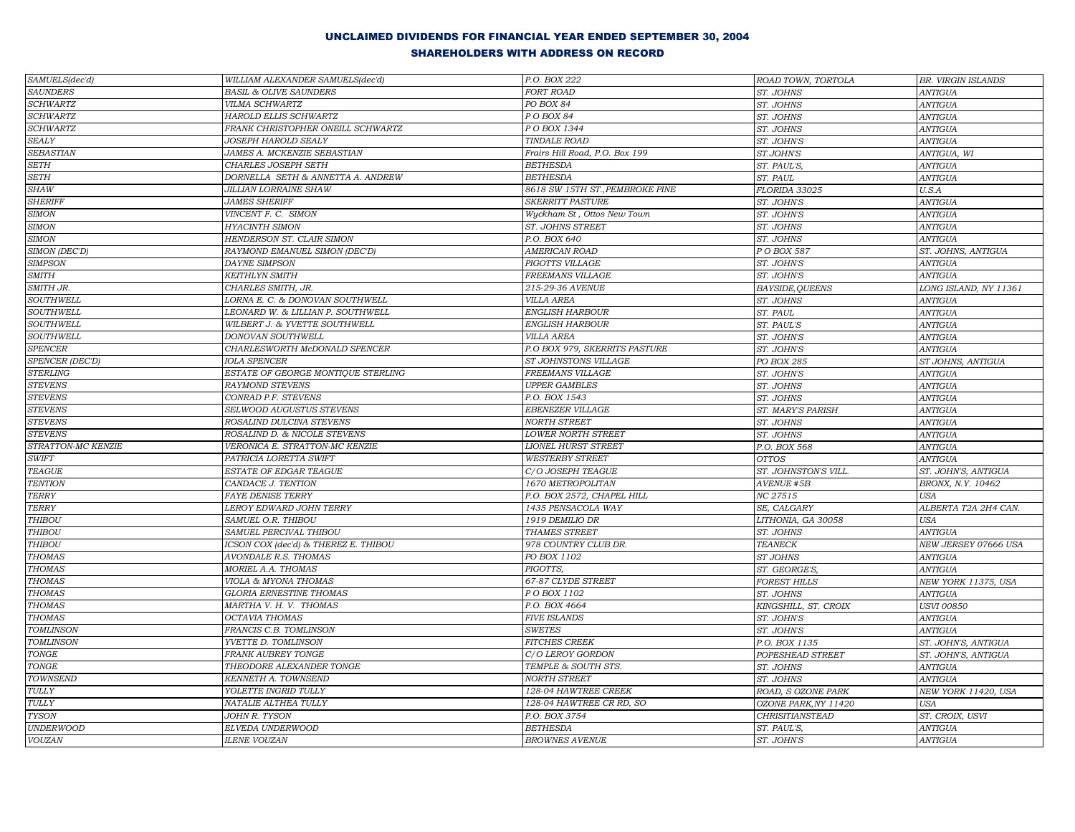| SAMUELS(dec'd)                  | WILLIAM ALEXANDER SAMUELS(dec'd)     | P.O. BOX 222                    | ROAD TOWN, TORTOLA     | BR. VIRGIN ISLANDS    |
|---------------------------------|--------------------------------------|---------------------------------|------------------------|-----------------------|
| <b>SAUNDERS</b>                 | <b>BASIL &amp; OLIVE SAUNDERS</b>    | FORT ROAD                       | ST. JOHNS              | <b>ANTIGUA</b>        |
| <b>SCHWARTZ</b>                 | VILMA SCHWARTZ                       | PO BOX 84                       | ST. JOHNS              | <b>ANTIGUA</b>        |
| <b>SCHWARTZ</b>                 | HAROLD ELLIS SCHWARTZ                | PO BOX 84                       | ST. JOHNS              | <b>ANTIGUA</b>        |
| <b>SCHWARTZ</b>                 | FRANK CHRISTOPHER ONEILL SCHWARTZ    | P O BOX 1344                    | ST. JOHNS              | <b>ANTIGUA</b>        |
| <b>SEALY</b>                    | JOSEPH HAROLD SEALY                  | <b>TINDALE ROAD</b>             | ST. JOHN'S             | <b>ANTIGUA</b>        |
| SEBASTIAN                       | JAMES A. MCKENZIE SEBASTIAN          | Frairs Hill Road, P.O. Box 199  | ST.JOHN'S              | ANTIGUA, WI           |
| <b>SETH</b>                     | CHARLES JOSEPH SETH                  | <b>BETHESDA</b>                 | ST. PAUL'S,            | <b>ANTIGUA</b>        |
| <b>SETH</b>                     | DORNELLA SETH & ANNETTA A. ANDREW    | <b>BETHESDA</b>                 | ST. PAUL               | <b>ANTIGUA</b>        |
| <b>SHAW</b>                     | <b>JILLIAN LORRAINE SHAW</b>         | 8618 SW 15TH ST., PEMBROKE PINE | FLORIDA 33025          | U.S.A                 |
| <b>SHERIFF</b>                  | <b>JAMES SHERIFF</b>                 | <b>SKERRITT PASTURE</b>         | ST. JOHN'S             | <b>ANTIGUA</b>        |
| <b>SIMON</b>                    | VINCENT F. C. SIMON                  | Wyckham St, Ottos New Town      | ST. JOHN'S             | <b>ANTIGUA</b>        |
| <b>SIMON</b>                    | <b>HYACINTH SIMON</b>                | ST. JOHNS STREET                | ST. JOHNS              | <b>ANTIGUA</b>        |
| <b>SIMON</b>                    | HENDERSON ST. CLAIR SIMON            | P.O. BOX 640                    | ST. JOHNS              | <b>ANTIGUA</b>        |
| SIMON (DEC'D)                   | RAYMOND EMANUEL SIMON (DEC'D)        | <b>AMERICAN ROAD</b>            | P O BOX 587            | ST. JOHNS, ANTIGUA    |
| <b>SIMPSON</b>                  | <b>DAYNE SIMPSON</b>                 | PIGOTTS VILLAGE                 | ST. JOHN'S             | <b>ANTIGUA</b>        |
| <b>SMITH</b>                    | <b>KEITHLYN SMITH</b>                | FREEMANS VILLAGE                | ST. JOHN'S             | ANTIGUA               |
| SMITH JR.                       | CHARLES SMITH, JR.                   | 215-29-36 AVENUE                | <b>BAYSIDE, QUEENS</b> | LONG ISLAND, NY 11361 |
| <b>SOUTHWELL</b>                | LORNA E. C. & DONOVAN SOUTHWELL      | <b>VILLA AREA</b>               | ST. JOHNS              | <b>ANTIGUA</b>        |
| <b>SOUTHWELL</b>                | LEONARD W. & LILLIAN P. SOUTHWELL    | <b>ENGLISH HARBOUR</b>          | ST. PAUL               | <b>ANTIGUA</b>        |
| SOUTHWELL                       | WILBERT J. & YVETTE SOUTHWELL        | <b>ENGLISH HARBOUR</b>          | ST. PAUL'S             | <b>ANTIGUA</b>        |
| <b>SOUTHWELL</b>                | DONOVAN SOUTHWELL                    | <b>VILLA AREA</b>               | ST. JOHN'S             | <b>ANTIGUA</b>        |
| ${\it SPENCER}$                 | CHARLESWORTH McDONALD SPENCER        | P.O BOX 979, SKERRITS PASTURE   | ST. JOHN'S             | <b>ANTIGUA</b>        |
| SPENCER (DEC'D)                 | <b>IOLA SPENCER</b>                  | ST JOHNSTONS VILLAGE            | PO BOX 285             | ST JOHNS, ANTIGUA     |
| <b>STERLING</b>                 | ESTATE OF GEORGE MONTIQUE STERLING   | FREEMANS VILLAGE                | ST. JOHN'S             | <b>ANTIGUA</b>        |
| <b>STEVENS</b>                  | RAYMOND STEVENS                      | <b>UPPER GAMBLES</b>            | ST. JOHNS              | <b>ANTIGUA</b>        |
| <b>STEVENS</b>                  | CONRAD P.F. STEVENS                  | P.O. BOX 1543                   | ST. JOHNS              | <b>ANTIGUA</b>        |
| <b>STEVENS</b>                  | SELWOOD AUGUSTUS STEVENS             | <b>EBENEZER VILLAGE</b>         | ST. MARY'S PARISH      | <b>ANTIGUA</b>        |
| <b>STEVENS</b>                  | ROSALIND DULCINA STEVENS             | <b>NORTH STREET</b>             | ST. JOHNS              | <b>ANTIGUA</b>        |
| <b>STEVENS</b>                  | ROSALIND D. & NICOLE STEVENS         | <b>LOWER NORTH STREET</b>       | ST. JOHNS              | <b>ANTIGUA</b>        |
| STRATTON-MC KENZIE              | VERONICA E. STRATTON-MC KENZIE       | <b>LIONEL HURST STREET</b>      | P.O. BOX 568           | ANTIGUA               |
| $\ensuremath{\mathit{SWIFT}}$   | PATRICIA LORETTA SWIFT               | <b>WESTERBY STREET</b>          | <b>OTTOS</b>           | <b>ANTIGUA</b>        |
| <b>TEAGUE</b>                   | ESTATE OF EDGAR TEAGUE               | C/O JOSEPH TEAGUE               | ST. JOHNSTON'S VILL.   | ST. JOHN'S, ANTIGUA   |
| <b>TENTION</b>                  | CANDACE J. TENTION                   | 1670 METROPOLITAN               | AVENUE #5B             | BRONX, N.Y. 10462     |
| <b>TERRY</b>                    | <b>FAYE DENISE TERRY</b>             | P.O. BOX 2572, CHAPEL HILL      | NC 27515               | <b>USA</b>            |
| <b>TERRY</b>                    | LEROY EDWARD JOHN TERRY              | 1435 PENSACOLA WAY              | SE, CALGARY            | ALBERTA T2A 2H4 CAN.  |
| <b>THIBOU</b>                   | SAMUEL O.R. THIBOU                   | 1919 DEMILIO DR                 | LITHONIA, GA 30058     | <b>USA</b>            |
| <b>THIBOU</b>                   | SAMUEL PERCIVAL THIBOU               | THAMES STREET                   | ST. JOHNS              | <b>ANTIGUA</b>        |
| <b>THIBOU</b>                   | ICSON COX (dec'd) & THEREZ E. THIBOU | 978 COUNTRY CLUB DR.            | TEANECK                | NEW JERSEY 07666 USA  |
| <b>THOMAS</b>                   | AVONDALE R.S. THOMAS                 | PO BOX 1102                     | ST JOHNS               | <b>ANTIGUA</b>        |
| <b>THOMAS</b>                   | MORIEL A.A. THOMAS                   | PIGOTTS,                        | ST. GEORGE'S,          | <b>ANTIGUA</b>        |
| <b>THOMAS</b>                   | VIOLA & MYONA THOMAS                 | 67-87 CLYDE STREET              | <b>FOREST HILLS</b>    | NEW YORK 11375, USA   |
| <b>THOMAS</b>                   | GLORIA ERNESTINE THOMAS              | PO BOX 1102                     | ST. JOHNS              | <b>ANTIGUA</b>        |
| <b>THOMAS</b>                   | MARTHA V. H. V. THOMAS               | P.O. BOX 4664                   | KINGSHILL, ST. CROIX   | <b>USVI 00850</b>     |
| <b>THOMAS</b>                   | OCTAVIA THOMAS                       | <b>FIVE ISLANDS</b>             | ST. JOHN'S             | <b>ANTIGUA</b>        |
| <b>TOMLINSON</b>                | FRANCIS C.B. TOMLINSON               | <b>SWETES</b>                   | ST. JOHN'S             | <b>ANTIGUA</b>        |
| <b>TOMLINSON</b>                | YVETTE D. TOMLINSON                  | <b>FITCHES CREEK</b>            | P.O. BOX 1135          | ST. JOHN'S, ANTIGUA   |
| $\operatorname{\mathit{TONGE}}$ | <b>FRANK AUBREY TONGE</b>            | C/O LEROY GORDON                | POPESHEAD STREET       | ST. JOHN'S, ANTIGUA   |
| <b>TONGE</b>                    | THEODORE ALEXANDER TONGE             | TEMPLE & SOUTH STS.             | ST. JOHNS              | <b>ANTIGUA</b>        |
| TOWNSEND                        | KENNETH A. TOWNSEND                  | <b>NORTH STREET</b>             | ST. JOHNS              | ANTIGUA               |
| <b>TULLY</b>                    | YOLETTE INGRID TULLY                 | 128-04 HAWTREE CREEK            | ROAD, S OZONE PARK     | NEW YORK 11420, USA   |
| <b>TULLY</b>                    | NATALIE ALTHEA TULLY                 | 128-04 HAWTREE CR RD, SO        | OZONE PARK, NY 11420   | <b>USA</b>            |
| <b>TYSON</b>                    | JOHN R. TYSON                        | P.O. BOX 3754                   | <b>CHRISITIANSTEAD</b> | ST. CROIX, USVI       |
| <b>UNDERWOOD</b>                | ELVEDA UNDERWOOD                     | <b>BETHESDA</b>                 | ST. PAUL'S,            | ANTIGUA               |
| <b>VOUZAN</b>                   | <b>ILENE VOUZAN</b>                  | <b>BROWNES AVENUE</b>           | ST. JOHN'S             | <b>ANTIGUA</b>        |
|                                 |                                      |                                 |                        |                       |